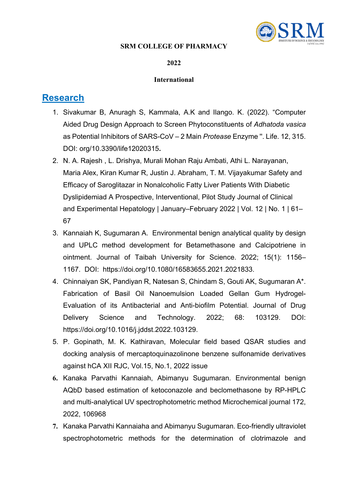### **SRM COLLEGE OF PHARMACY**



#### **2022**

#### **International**

- 1. Sivakumar B, Anuragh S, Kammala, A.K and Ilango. K. (2022). "Computer Aided Drug Design Approach to Screen Phytoconstituents of *Adhatoda vasica* as Potential Inhibitors of SARS-CoV – 2 Main *Protease* Enzyme ''. Life. 12, 315. DOI: org/10.3390/life12020315**.**
- 2. N. A. Rajesh , L. Drishya, Murali Mohan Raju Ambati, Athi L. Narayanan, Maria Alex, Kiran Kumar R, Justin J. Abraham, T. M. Vijayakumar Safety and Efficacy of Saroglitazar in Nonalcoholic Fatty Liver Patients With Diabetic Dyslipidemiad A Prospective, Interventional, Pilot Study Journal of Clinical and Experimental Hepatology | January–February 2022 | Vol. 12 | No. 1 | 61– 67
- 3. Kannaiah K, Sugumaran A. Environmental benign analytical quality by design and UPLC method development for Betamethasone and Calcipotriene in ointment. Journal of Taibah University for Science. 2022; 15(1): 1156– 1167. DOI: [https://doi.org/10.1080/16583655.2021.2021833.](https://doi.org/10.1080/16583655.2021.2021833)
- 4. Chinnaiyan SK, Pandiyan R, Natesan S, Chindam S, Gouti AK, Sugumaran A\*. Fabrication of Basil Oil Nanoemulsion Loaded Gellan Gum Hydrogel-Evaluation of its Antibacterial and Anti-biofilm Potential. Journal of Drug Delivery Science and Technology. 2022; 68: 103129. DOI: [https://doi.org/10.1016/j.jddst.2022.103129.](https://doi.org/10.1016/j.jddst.2022.103129)
- 5. P. Gopinath, M. K. Kathiravan, Molecular field based QSAR studies and docking analysis of mercaptoquinazolinone benzene sulfonamide derivatives against hCA XII RJC, Vol.15, No.1, 2022 issue
- **6.** Kanaka Parvathi Kannaiah, Abimanyu Sugumaran. Environmental benign AQbD based estimation of ketoconazole and beclomethasone by RP-HPLC and multi-analytical UV spectrophotometric method Microchemical journal 172, 2022, 106968
- **7.** Kanaka Parvathi Kannaiaha and Abimanyu Sugumaran. Eco-friendly ultraviolet spectrophotometric methods for the determination of clotrimazole and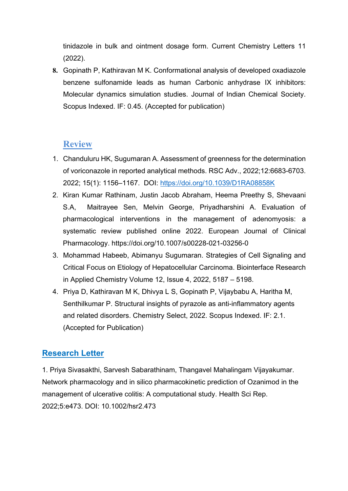tinidazole in bulk and ointment dosage form. Current Chemistry Letters 11 (2022).

**8.** Gopinath P, Kathiravan M K. Conformational analysis of developed oxadiazole benzene sulfonamide leads as human Carbonic anhydrase IX inhibitors: Molecular dynamics simulation studies. Journal of Indian Chemical Society. Scopus Indexed. IF: 0.45. (Accepted for publication)

# **Review**

- 1. Chanduluru HK, Sugumaran A. Assessment of greenness for the determination of voriconazole in reported analytical methods. RSC Adv., 2022;12:6683-6703. 2022; 15(1): 1156–1167. DOI:<https://doi.org/10.1039/D1RA08858K>
- 2. Kiran Kumar Rathinam, Justin Jacob Abraham, Heema Preethy S, Shevaani S.A, Maitrayee Sen, Melvin George, Priyadharshini A. Evaluation of pharmacological interventions in the management of adenomyosis: a systematic review published online 2022. European Journal of Clinical Pharmacology. https://doi.org/10.1007/s00228-021-03256-0
- 3. Mohammad Habeeb, Abimanyu Sugumaran. Strategies of Cell Signaling and Critical Focus on Etiology of Hepatocellular Carcinoma. [Biointerface Research](https://biointerfaceresearch.com/)  [in Applied Chemistry](https://biointerfaceresearch.com/) Volume 12, Issue 4, 2022, 5187 – 5198.
- 4. Priya D, Kathiravan M K, Dhivya L S, Gopinath P, Vijaybabu A, Haritha M, Senthilkumar P. Structural insights of pyrazole as anti-inflammatory agents and related disorders. Chemistry Select, 2022. Scopus Indexed. IF: 2.1. (Accepted for Publication)

# **Research Letter**

1. Priya Sivasakthi, Sarvesh Sabarathinam, Thangavel Mahalingam Vijayakumar. Network pharmacology and in silico pharmacokinetic prediction of Ozanimod in the management of ulcerative colitis: A computational study. Health Sci Rep. 2022;5:e473. DOI: 10.1002/hsr2.473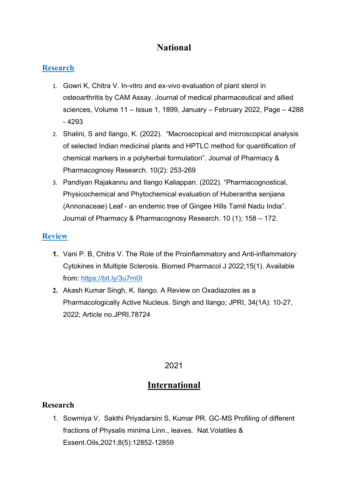# **National**

## **Research**

- 1. Gowri K, Chitra V. In-vitro and ex-vivo evaluation of plant sterol in osteoarthritis by CAM Assay. Journal of medical pharmaceutical and allied sciences, Volume 11 – Issue 1, 1899, January – February 2022, Page – 4288 - 4293
- 2. Shalini, S and Ilango, K. (2022). "Macroscopical and microscopical analysis of selected Indian medicinal plants and HPTLC method for quantification of chemical markers in a polyherbal formulation". Journal of Pharmacy & Pharmacognosy Research. 10(2): 253-269
- 3. Pandiyan Rajakannu and Ilango Kaliappan. (2022). "Pharmacognostical, Physicochemical and Phytochemical evaluation of Huberantha senjiana (Annonaceae) Leaf - an endemic tree of Gingee Hills Tamil Nadu India". Journal of Pharmacy & Pharmacognosy Research. 10 (1); 158 – 172.

## **Review**

- **1.** Vani P. B, Chitra V. The Role of the Proinflammatory and Anti-inflammatory Cytokines in Multiple Sclerosis. Biomed Pharmacol J 2022;15(1). Available from:<https://bit.ly/3u7rn0I>
- **2.** Akash Kumar Singh, K. Ilango. A Review on Oxadiazoles as a Pharmacologically Active Nucleus. Singh and Ilango; JPRI, 34(1A): 10-27, 2022; Article no.JPRI.78724

# 2021

# **International**

## **Research**

1. Sowmiya V, Sakthi Priyadarsini S, Kumar PR. GC-MS Profiling of different fractions of Physalis minima Linn., leaves. Nat.Volatiles & Essent.Oils,2021;8(5):12852-12859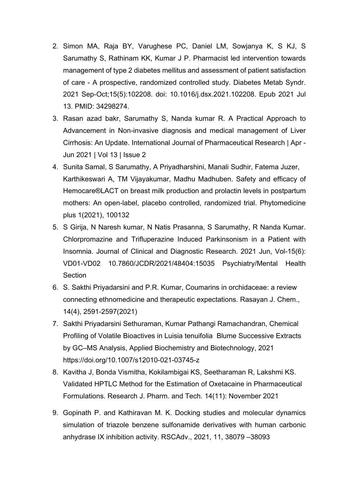- 2. Simon MA, Raja BY, Varughese PC, Daniel LM, Sowjanya K, S KJ, S Sarumathy S, Rathinam KK, Kumar J P. Pharmacist led intervention towards management of type 2 diabetes mellitus and assessment of patient satisfaction of care - A prospective, randomized controlled study. Diabetes Metab Syndr. 2021 Sep-Oct;15(5):102208. doi: 10.1016/j.dsx.2021.102208. Epub 2021 Jul 13. PMID: 34298274.
- 3. Rasan azad bakr, Sarumathy S, Nanda kumar R. A Practical Approach to Advancement in Non-invasive diagnosis and medical management of Liver Cirrhosis: An Update. International Journal of Pharmaceutical Research | Apr - Jun 2021 | Vol 13 | Issue 2
- 4. Sunita Samal, S Sarumathy, A Priyadharshini, Manali Sudhir, Fatema Juzer, Karthikeswari A, TM Vijayakumar, Madhu Madhuben. Safety and efficacy of Hemocare®LACT on breast milk production and prolactin levels in postpartum mothers: An open-label, placebo controlled, randomized trial. Phytomedicine plus 1(2021), 100132
- 5. S Girija, N Naresh kumar, N Natis Prasanna, S Sarumathy, R Nanda Kumar. Chlorpromazine and Trifluperazine Induced Parkinsonism in a Patient with Insomnia. Journal of Clinical and Diagnostic Research. 2021 Jun, Vol-15(6): VD01-VD02 10.7860/JCDR/2021/48404:15035 Psychiatry/Mental Health Section
- 6. S. Sakthi Priyadarsini and P.R. Kumar, Coumarins in orchidaceae: a review connecting ethnomedicine and therapeutic expectations. Rasayan J. Chem., 14(4), 2591-2597(2021)
- 7. Sakthi Priyadarsini Sethuraman, Kumar Pathangi Ramachandran, Chemical Profiling of Volatile Bioactives in Luisia tenuifolia Blume Successive Extracts by GC–MS Analysis, Applied Biochemistry and Biotechnology, 2021 https://doi.org/10.1007/s12010-021-03745-z
- 8. Kavitha J, Bonda Vismitha, Kokilambigai KS, Seetharaman R, Lakshmi KS. Validated HPTLC Method for the Estimation of Oxetacaine in Pharmaceutical Formulations. Research J. Pharm. and Tech. 14(11): November 2021
- 9. Gopinath P. and Kathiravan M. K. Docking studies and molecular dynamics simulation of triazole benzene sulfonamide derivatives with human carbonic anhydrase IX inhibition activity. RSCAdv., 2021, 11, 38079 –38093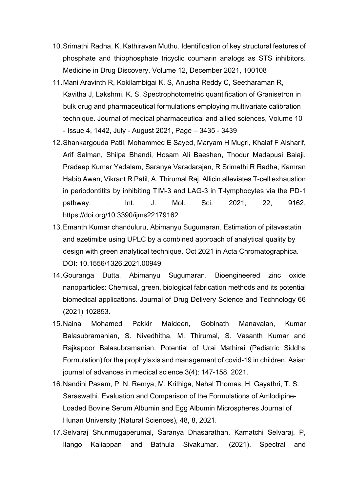- 10.Srimathi Radha, K. Kathiravan Muthu. Identification of key structural features of phosphate and thiophosphate tricyclic coumarin analogs as STS inhibitors. [Medicine in Drug Discovery,](https://www.sciencedirect.com/science/journal/25900986) [Volume 12,](https://www.sciencedirect.com/science/journal/25900986/12/supp/C) December 2021, 100108
- 11.Mani Aravinth R, Kokilambigai K. S, Anusha Reddy C, Seetharaman R, Kavitha J, Lakshmi. K. S. Spectrophotometric quantification of Granisetron in bulk drug and pharmaceutical formulations employing multivariate calibration technique. Journal of medical pharmaceutical and allied sciences, Volume 10 - Issue 4, 1442, July - August 2021, Page – 3435 - 3439
- 12.Shankargouda Patil, Mohammed E Sayed, Maryam H Mugri, Khalaf F Alsharif, Arif Salman, Shilpa Bhandi, Hosam Ali Baeshen, Thodur Madapusi Balaji, Pradeep Kumar Yadalam, Saranya Varadarajan, R Srimathi R Radha, Kamran Habib Awan, Vikrant R Patil, A. Thirumal Raj. Allicin alleviates T-cell exhaustion in periodontitits by inhibiting TIM-3 and LAG-3 in T-lymphocytes via the PD-1 pathway. . Int. J. Mol. Sci. 2021, 22, 9162. https://doi.org/10.3390/ijms22179162
- 13.Emanth Kumar chanduluru, Abimanyu Sugumaran. Estimation of pitavastatin and ezetimibe using UPLC by a combined approach of analytical quality by design with green analytical technique. Oct 2021 in [Acta Chromatographica.](https://publons.com/journal/10537/acta-chromatographica/) DOI: [10.1556/1326.2021.00949](https://doi.org/10.1556/1326.2021.00949)
- 14.Gouranga Dutta, Abimanyu Sugumaran. Bioengineered zinc oxide nanoparticles: Chemical, green, biological fabrication methods and its potential biomedical applications. Journal of Drug Delivery Science and Technology 66 (2021) 102853.
- 15.Naina Mohamed Pakkir Maideen, Gobinath Manavalan, Kumar Balasubramanian, S. Nivedhitha, M. Thirumal, S. Vasanth Kumar and Rajkapoor Balasubramanian. Potential of Urai Mathirai (Pediatric Siddha Formulation) for the prophylaxis and management of covid-19 in children. Asian journal of advances in medical science 3(4): 147-158, 2021.
- 16.Nandini Pasam, P. N. Remya, M. Krithiga, Nehal Thomas, H. Gayathri, T. S. Saraswathi. Evaluation and Comparison of the Formulations of Amlodipine-Loaded Bovine Serum Albumin and Egg Albumin Microspheres Journal of Hunan University (Natural Sciences), 48, 8, 2021.
- 17.Selvaraj Shunmugaperumal, Saranya Dhasarathan, Kamatchi Selvaraj. P, Ilango Kaliappan and Bathula Sivakumar. (2021). Spectral and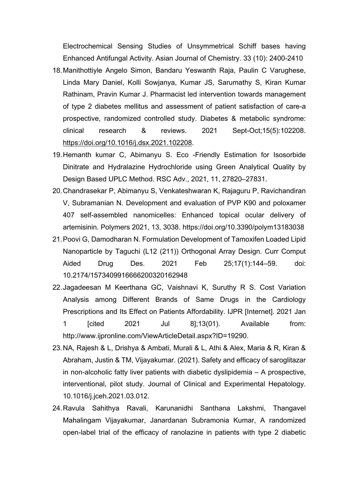Electrochemical Sensing Studies of Unsymmetrical Schiff bases having Enhanced Antifungal Activity. Asian Journal of Chemistry. 33 (10): 2400-2410

- 18.Manithottiyle Angelo Simon, Bandaru Yeswanth Raja, Paulin C Varughese, Linda Mary Daniel, Kolli Sowjanya, Kumar JS, Sarumathy S, Kiran Kumar Rathinam, Pravin Kumar J. Pharmacist led intervention towards management of type 2 diabetes mellitus and assessment of patient satisfaction of care-a prospective, randomized controlled study. Diabetes & metabolic syndrome: clinical research & reviews. 2021 Sept-Oct;15(5):102208. [https://doi.org/10.1016/j.dsx.2021.102208.](https://doi.org/10.1016/j.dsx.2021.102208)
- 19.Hemanth kumar C, Abimanyu S. Eco -Friendly Estimation for Isosorbide Dinitrate and Hydralazine Hydrochloride using Green Analytical Quality by Design Based UPLC Method. RSC Adv., 2021, 11, 27820–27831.
- 20.Chandrasekar P, Abimanyu S, Venkateshwaran K, Rajaguru P, Ravichandiran V, Subramanian N. Development and evaluation of PVP K90 and poloxamer 407 self-assembled nanomicelles: Enhanced topical ocular delivery of artemisinin. Polymers 2021, 13, 3038. https://doi.org/10.3390/polym13183038
- 21.Poovi G, Damodharan N. Formulation Development of Tamoxifen Loaded Lipid Nanoparticle by Taguchi (L12 (211)) Orthogonal Array Design. Curr Comput Aided Drug Des. 2021 Feb 25;17(1):144–59. doi: 10.2174/1573409916666200320162948
- 22.Jagadeesan M Keerthana GC, Vaishnavi K, Suruthy R S. Cost Variation Analysis among Different Brands of Same Drugs in the Cardiology Prescriptions and Its Effect on Patients Affordability. IJPR [Internet]. 2021 Jan 1 [cited 2021 Jul 8];13(01). Available from: http://www.ijpronline.com/ViewArticleDetail.aspx?ID=19290.
- 23.NA, Rajesh & L, Drishya & Ambati, Murali & L, Athi & Alex, Maria & R, Kiran & Abraham, Justin & TM, Vijayakumar. (2021). Safety and efficacy of saroglitazar in non-alcoholic fatty liver patients with diabetic dyslipidemia – A prospective, interventional, pilot study. Journal of Clinical and Experimental Hepatology. 10.1016/j.jceh.2021.03.012.
- 24.Ravula Sahithya Ravali, Karunanidhi Santhana Lakshmi, Thangavel Mahalingam Vijayakumar, Janardanan Subramonia Kumar, A randomized open-label trial of the efficacy of ranolazine in patients with type 2 diabetic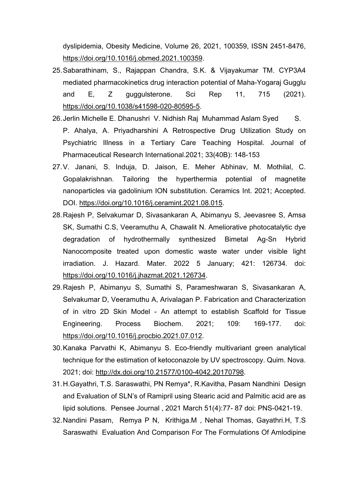dyslipidemia, Obesity Medicine, Volume 26, 2021, 100359, ISSN 2451-8476, [https://doi.org/10.1016/j.obmed.2021.100359.](https://doi.org/10.1016/j.obmed.2021.100359)

- 25.Sabarathinam, S., Rajappan Chandra, S.K. & Vijayakumar TM. CYP3A4 mediated pharmacokinetics drug interaction potential of Maha-Yogaraj Gugglu and E, Z guggulsterone. Sci Rep 11, 715 (2021). [https://doi.org/10.1038/s41598-020-80595-5.](https://doi.org/10.1038/s41598-020-80595-5)
- 26.Jerlin Michelle E. Dhanushri V. Nidhish Raj Muhammad Aslam Syed S. P. Ahalya, A. Priyadharshini A Retrospective Drug Utilization Study on Psychiatric Illness in a Tertiary Care Teaching Hospital. Journal of Pharmaceutical Research International.2021; 33(40B): 148-153
- 27.V. Janani, S. Induja, D. Jaison, E. Meher Abhinav, M. Mothilal, C. Gopalakrishnan. Tailoring the hyperthermia potential of magnetite nanoparticles via gadolinium ION substitution. Ceramics Int. 2021; Accepted. DOI. [https://doi.org/10.1016/j.ceramint.2021.08.015.](https://doi.org/10.1016/j.ceramint.2021.08.015)
- 28.Rajesh P, Selvakumar D, Sivasankaran A, Abimanyu S, Jeevasree S, Amsa SK, Sumathi C.S, Veeramuthu A, Chawalit N. Ameliorative photocatalytic dye degradation of hydrothermally synthesized Bimetal Ag-Sn Hybrid Nanocomposite treated upon domestic waste water under visible light irradiation. J. Hazard. Mater. 2022 5 January; 421: 126734. doi: [https://doi.org/10.1016/j.jhazmat.2021.126734.](https://doi.org/10.1016/j.jhazmat.2021.126734)
- 29.Rajesh P, Abimanyu S, Sumathi S, Parameshwaran S, Sivasankaran A, Selvakumar D, Veeramuthu A, Arivalagan P. Fabrication and Characterization of in vitro 2D Skin Model - An attempt to establish Scaffold for Tissue Engineering. Process Biochem. 2021; 109: 169-177. doi: [https://doi.org/10.1016/j.procbio.2021.07.012.](https://doi.org/10.1016/j.procbio.2021.07.012)
- 30.Kanaka Parvathi K, Abimanyu S. Eco-friendly multivariant green analytical technique for the estimation of ketoconazole by UV spectroscopy. Quim. Nova. 2021; doi: [http://dx.doi.org/10.21577/0100-4042.20170798.](http://dx.doi.org/10.21577/0100-4042.20170798)
- 31.H.Gayathri, T.S. Saraswathi, PN Remya\*, R.Kavitha, Pasam Nandhini Design and Evaluation of SLN's of Ramipril using Stearic acid and Palmitic acid are as lipid solutions. Pensee Journal , 2021 March 51(4):77- 87 doi: PNS-0421-19.
- 32.Nandini Pasam, Remya P N, Krithiga.M , Nehal Thomas, Gayathri.H, T.S Saraswathi Evaluation And Comparison For The Formulations Of Amlodipine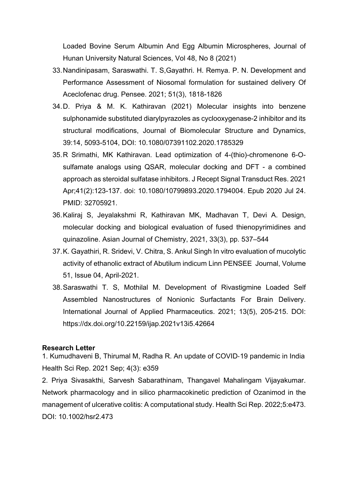Loaded Bovine Serum Albumin And Egg Albumin Microspheres, Journal of Hunan University Natural Sciences, [Vol 48, No 8 \(2021\)](http://www.jonuns.com/index.php/journal/issue/view/77)

- 33.Nandinipasam, Saraswathi. T. S,Gayathri. H. Remya. P. N. Development and Performance Assessment of Niosomal formulation for sustained delivery Of Aceclofenac drug. Pensee. 2021; 51(3), 1818-1826
- 34.D. Priya & M. K. Kathiravan (2021) Molecular insights into benzene sulphonamide substituted diarylpyrazoles as cyclooxygenase-2 inhibitor and its structural modifications, Journal of Biomolecular Structure and Dynamics, 39:14, 5093-5104, DOI: 10.1080/07391102.2020.1785329
- 35.R Srimathi, MK Kathiravan. Lead optimization of 4-(thio)-chromenone 6-Osulfamate analogs using QSAR, molecular docking and DFT - a combined approach as steroidal sulfatase inhibitors. J Recept Signal Transduct Res. 2021 Apr;41(2):123-137. doi: 10.1080/10799893.2020.1794004. Epub 2020 Jul 24. PMID: 32705921.
- 36.Kaliraj S, Jeyalakshmi R, Kathiravan MK, Madhavan T, Devi A. Design, molecular docking and biological evaluation of fused thienopyrimidines and quinazoline. Asian Journal of Chemistry, 2021, 33(3), pp. 537–544
- 37.K. Gayathiri, R. Sridevi, V. Chitra, S. Ankul Singh In vitro evaluation of mucolytic activity of ethanolic extract of Abutilum indicum Linn PENSEE Journal, Volume 51, Issue 04, April-2021.
- 38.Saraswathi T. S, Mothilal M. Development of Rivastigmine Loaded Self Assembled Nanostructures of Nonionic Surfactants For Brain Delivery. International Journal of Applied Pharmaceutics. 2021; 13(5), 205-215. DOI: <https://dx.doi.org/10.22159/ijap.2021v13i5.42664>

#### **Research Letter**

1. [Kumudhaveni B,](https://www.ncbi.nlm.nih.gov/pubmed/?term=B%20K%5BAuthor%5D&cauthor=true&cauthor_uid=34485704) [Thirumal M,](https://www.ncbi.nlm.nih.gov/pubmed/?term=M%20T%5BAuthor%5D&cauthor=true&cauthor_uid=34485704) [Radha R.](https://www.ncbi.nlm.nih.gov/pubmed/?term=R%20R%5BAuthor%5D&cauthor=true&cauthor_uid=34485704) An update of COVID‐19 pandemic in India [Health Sci Rep.](https://www.ncbi.nlm.nih.gov/pmc/articles/PMC8407063/) 2021 Sep; 4(3): e359

2. Priya Sivasakthi, Sarvesh Sabarathinam, Thangavel Mahalingam Vijayakumar. Network pharmacology and in silico pharmacokinetic prediction of Ozanimod in the management of ulcerative colitis: A computational study. Health Sci Rep. 2022;5:e473. DOI: 10.1002/hsr2.473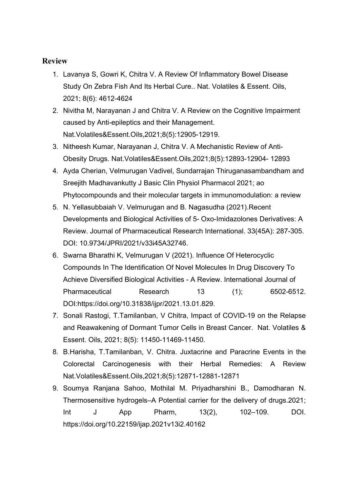- 1. Lavanya S, Gowri K, Chitra V. A Review Of Inflammatory Bowel Disease Study On Zebra Fish And Its Herbal Cure.. Nat. Volatiles & Essent. Oils, 2021; 8(6): 4612-4624
- 2. Nivitha M, Narayanan J and Chitra V. A Review on the Cognitive Impairment caused by Anti-epileptics and their Management. Nat.Volatiles&Essent.Oils,2021;8(5):12905-12919.
- 3. Nitheesh Kumar, Narayanan J, Chitra V. A Mechanistic Review of Anti-Obesity Drugs. Nat.Volatiles&Essent.Oils,2021;8(5):12893-12904- 12893
- 4. Ayda Cherian, Velmurugan Vadivel, Sundarrajan Thiruganasambandham and Sreejith Madhavankutty J Basic Clin Physiol Pharmacol 2021; ao Phytocompounds and their molecular targets in immunomodulation: a review
- 5. N. Yellasubbaiah V. Velmurugan and B. Nagasudha (2021).Recent Developments and Biological Activities of 5- Oxo-Imidazolones Derivatives: A Review. Journal of Pharmaceutical Research International. 33(45A): 287-305. DOI: 10.9734/JPRI/2021/v33i45A32746.
- 6. Swarna Bharathi K, Velmurugan V (2021). Influence Of Heterocyclic Compounds In The Identification Of Novel Molecules In Drug Discovery To Achieve Diversified Biological Activities - A Review. International Journal of Pharmaceutical Research 13 (1): 6502-6512. DOI:https://doi.org/10.31838/ijpr/2021.13.01.829.
- 7. Sonali Rastogi, T.Tamilanban, V Chitra, Impact of COVID-19 on the Relapse and Reawakening of Dormant Tumor Cells in Breast Cancer. Nat. Volatiles & Essent. Oils, 2021; 8(5): 11450-11469-11450.
- 8. B.Harisha, T.Tamilanban, V. Chitra. Juxtacrine and Paracrine Events in the Colorectal Carcinogenesis with their Herbal Remedies: A Review Nat.Volatiles&Essent.Oils,2021;8(5):12871-12881-12871
- 9. Soumya Ranjana Sahoo, Mothilal M. Priyadharshini B., Damodharan N. Thermosensitive hydrogels–A Potential carrier for the delivery of drugs.2021; Int J App Pharm, 13(2), 102–109. DOI. <https://doi.org/10.22159/ijap.2021v13i2.40162>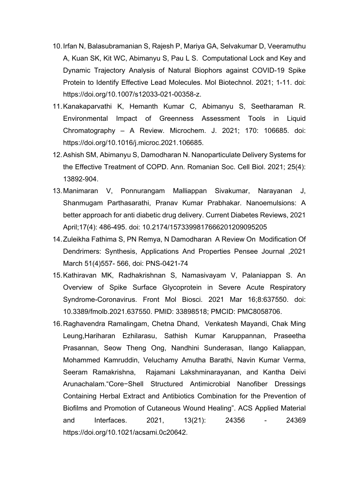- 10.Irfan N, Balasubramanian S, Rajesh P, Mariya GA, Selvakumar D, Veeramuthu A, Kuan SK, Kit WC, Abimanyu S, Pau L S. Computational Lock and Key and Dynamic Trajectory Analysis of Natural Biophors against COVID-19 Spike Protein to Identify Effective Lead Molecules. Mol Biotechnol. 2021; 1-11. doi: [https://doi.org/10.1007/s12033-021-00358-z.](https://doi.org/10.1007/s12033-021-00358-z)
- 11.Kanakaparvathi K, Hemanth Kumar C, Abimanyu S, Seetharaman R. Environmental Impact of Greenness Assessment Tools in Liquid Chromatography – A Review. Microchem. J. 2021; 170: 106685. doi: [https://doi.org/10.1016/j.microc.2021.106685.](https://doi.org/10.1016/j.microc.2021.106685)
- 12.Ashish SM, Abimanyu S, Damodharan N. Nanoparticulate Delivery Systems for the Effective Treatment of COPD. Ann. Romanian Soc. Cell Biol. 2021; 25(4): 13892-904.
- 13.Manimaran V, Ponnurangam Malliappan Sivakumar, Narayanan J, Shanmugam Parthasarathi, Pranav Kumar Prabhakar. Nanoemulsions: A better approach for anti diabetic drug delivery. Current Diabetes Reviews, 2021 April;17(4): 486-495. doi: 10.2174/1573399817666201209095205
- 14.Zuleikha Fathima S, PN Remya, N Damodharan A Review On Modification Of Dendrimers: Synthesis, Applications And Properties Pensee Journal ,2021 March 51(4)557- 566, doi: PNS-0421-74
- 15.Kathiravan MK, Radhakrishnan S, Namasivayam V, Palaniappan S. An Overview of Spike Surface Glycoprotein in Severe Acute Respiratory Syndrome-Coronavirus. Front Mol Biosci. 2021 Mar 16;8:637550. doi: 10.3389/fmolb.2021.637550. PMID: 33898518; PMCID: PMC8058706.
- 16.Raghavendra Ramalingam, Chetna Dhand, Venkatesh Mayandi, Chak Ming Leung,Hariharan Ezhilarasu, Sathish Kumar Karuppannan, Praseetha Prasannan, Seow Theng Ong, Nandhini Sunderasan, Ilango Kaliappan, Mohammed Kamruddin, Veluchamy Amutha Barathi, Navin Kumar Verma, Seeram Ramakrishna, Rajamani Lakshminarayanan, and Kantha Deivi Arunachalam."Core−Shell Structured Antimicrobial Nanofiber Dressings Containing Herbal Extract and Antibiotics Combination for the Prevention of Biofilms and Promotion of Cutaneous Wound Healing". ACS Applied Material and Interfaces. 2021, 13(21): 24356 - 24369 [https://doi.org/10.1021/acsami.0c20642.](https://doi.org/10.1021/acsami.0c20642)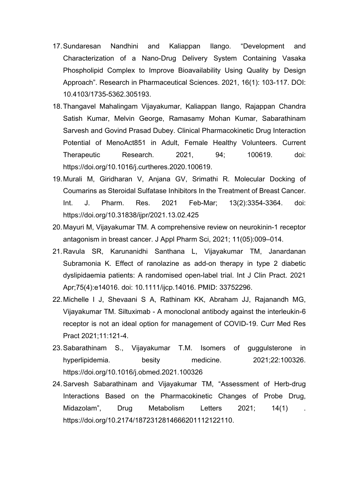- 17.Sundaresan Nandhini and Kaliappan Ilango. "Development and Characterization of a Nano-Drug Delivery System Containing Vasaka Phospholipid Complex to Improve Bioavailability Using Quality by Design Approach". Research in Pharmaceutical Sciences. 2021, 16(1): 103-117. DOI: 10.4103/1735-5362.305193.
- 18.Thangavel Mahalingam Vijayakumar, Kaliappan Ilango, Rajappan Chandra Satish Kumar, Melvin George, Ramasamy Mohan Kumar, Sabarathinam Sarvesh and Govind Prasad Dubey. Clinical Pharmacokinetic Drug Interaction Potential of MenoAct851 in Adult, Female Healthy Volunteers. Current Therapeutic Research. 2021, 94; 100619. doi: [https://doi.org/10.1016/j.curtheres.2020.100619.](https://doi.org/10.1016/j.curtheres.2020.100619)
- 19.Murali M, Giridharan V, Anjana GV, Srimathi R. Molecular Docking of Coumarins as Steroidal Sulfatase Inhibitors In the Treatment of Breast Cancer. Int. J. Pharm. Res. 2021 Feb-Mar; 13(2):3354-3364. doi: <https://doi.org/10.31838/ijpr/2021.13.02.425>
- 20.Mayuri M, Vijayakumar TM. A comprehensive review on neurokinin-1 receptor antagonism in breast cancer. J Appl Pharm Sci, 2021; 11(05):009–014.
- 21.Ravula SR, Karunanidhi Santhana L, Vijayakumar TM, Janardanan Subramonia K. Effect of ranolazine as add-on therapy in type 2 diabetic dyslipidaemia patients: A randomised open-label trial. Int J Clin Pract. 2021 Apr;75(4):e14016. doi: 10.1111/ijcp.14016. PMID: 33752296.
- 22.Michelle I J, Shevaani S A, Rathinam KK, Abraham JJ, Rajanandh MG, Vijayakumar TM. Siltuximab - A monoclonal antibody against the interleukin-6 receptor is not an ideal option for management of COVID-19. Curr Med Res Pract 2021;11:121-4.
- 23.Sabarathinam S., Vijayakumar T.M. Isomers of guggulsterone in hyperlipidemia. besity medicine. 2021;22:100326. <https://doi.org/10.1016/j.obmed.2021.100326>
- 24.Sarvesh Sabarathinam and Vijayakumar TM, "Assessment of Herb-drug Interactions Based on the Pharmacokinetic Changes of Probe Drug, Midazolam", Drug Metabolism Letters 2021; 14(1). [https://doi.org/10.2174/1872312814666201112122110.](https://doi.org/10.2174/1872312814666201112122110)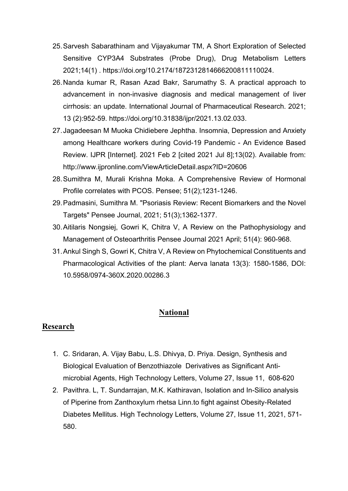- 25.Sarvesh Sabarathinam and Vijayakumar TM, A Short Exploration of Selected Sensitive CYP3A4 Substrates (Probe Drug), Drug Metabolism Letters 2021;14(1) . [https://doi.org/10.2174/1872312814666200811110024.](https://doi.org/10.2174/1872312814666200811110024)
- 26.Nanda kumar R, Rasan Azad Bakr, Sarumathy S. A practical approach to advancement in non-invasive diagnosis and medical management of liver cirrhosis: an update. International Journal of Pharmaceutical Research. 2021; 13 (2):952-59. [https://doi.org/10.31838/ijpr/2021.13.02.033.](https://doi.org/10.31838/ijpr/2021.13.02.033)
- 27.Jagadeesan M Muoka Chidiebere Jephtha. Insomnia, Depression and Anxiety among Healthcare workers during Covid-19 Pandemic - An Evidence Based Review. IJPR [Internet]. 2021 Feb 2 [cited 2021 Jul 8];13(02). Available from: <http://www.ijpronline.com/ViewArticleDetail.aspx?ID=20606>
- 28.Sumithra M, Murali Krishna Moka. A Comprehensive Review of Hormonal Profile correlates with PCOS. Pensee; 51(2);1231-1246.
- 29.Padmasini, Sumithra M. "Psoriasis Review: Recent Biomarkers and the Novel Targets" Pensee Journal, 2021; 51(3);1362-1377.
- 30.Aitilaris Nongsiej, Gowri K, Chitra V, A Review on the Pathophysiology and Management of Osteoarthritis Pensee Journal 2021 April; 51(4): 960-968.
- 31.Ankul Singh S, Gowri K, Chitra V, A Review on Phytochemical Constituents and Pharmacological Activities of the plant: Aerva lanata 13(3): 1580-1586, DOI: 10.5958/0974-360X.2020.00286.3

## **National**

- 1. C. Sridaran, A. Vijay Babu, L.S. Dhivya, D. Priya. Design, Synthesis and Biological Evaluation of Benzothiazole Derivatives as Significant Antimicrobial Agents, High Technology Letters, Volume 27, Issue 11, 608-620
- 2. Pavithra. L, T. Sundarrajan, M.K. Kathiravan, Isolation and In-Silico analysis of Piperine from Zanthoxylum rhetsa Linn.to fight against Obesity-Related Diabetes Mellitus. High Technology Letters, Volume 27, Issue 11, 2021, 571- 580.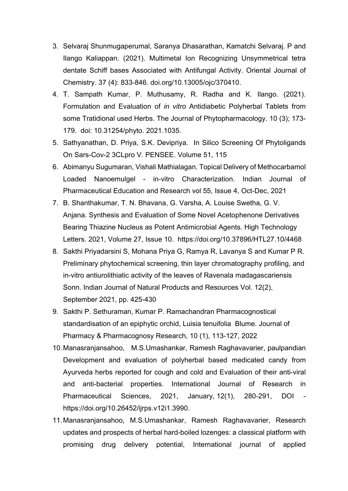- 3. Selvaraj Shunmugaperumal, Saranya Dhasarathan, Kamatchi Selvaraj. P and Ilango Kaliappan. (2021). Multimetal Ion Recognizing Unsymmetrical tetra dentate Schiff bases Associated with Antifungal Activity. Oriental Journal of Chemistry. 37 (4): 833-846. doi.org/10.13005/ojc/370410.
- 4. T. Sampath Kumar, P. Muthusamy, R. Radha and K. Ilango. (2021). Formulation and Evaluation of *in vitro* Antidiabetic Polyherbal Tablets from some Tratidional used Herbs. The Journal of Phytopharmacology. 10 (3); 173- 179. doi: 10.31254/phyto. 2021.1035.
- 5. Sathyanathan, D. Priya, S.K. Devipriya. In Silico Screening Of Phytoligands On Sars-Cov-2 3CLpro V. PENSEE. Volume 51, 115
- 6. Abimanyu Sugumaran, Vishali Mathialagan. Topical Delivery of Methocarbamol Loaded Nanoemulgel - in-vitro Characterization. Indian Journal of Pharmaceutical Education and Research vol 55, Issue 4, Oct-Dec, 2021
- 7. B. Shanthakumar, T. N. Bhavana, G. Varsha, A. Louise Swetha, G. V. Anjana. Synthesis and Evaluation of Some Novel Acetophenone Derivatives Bearing Thiazine Nucleus as Potent Antimicrobial Agents. High Technology Letters. 2021, Volume 27, Issue 10. https://doi.org/10.37896/HTL27.10/4468
- 8. Sakthi Priyadarsini S, Mohana Priya G, Ramya R, Lavanya S and Kumar P R. Preliminary phytochemical screening, thin layer chromatography profiling, and in-vitro antiurolithiatic activity of the leaves of Ravenala madagascariensis Sonn. Indian Journal of Natural Products and Resources Vol. 12(2), September 2021, pp. 425-430
- 9. Sakthi P. Sethuraman, Kumar P. Ramachandran Pharmacognostical standardisation of an epiphytic orchid, Luisia tenuifolia Blume. Journal of Pharmacy & Pharmacognosy Research, 10 (1), 113-127, 2022
- 10.Manasranjansahoo, M.S.Umashankar, Ramesh Raghavavarier, paulpandian Development and evaluation of polyherbal based medicated candy from Ayurveda herbs reported for cough and cold and Evaluation of their anti-viral and anti-bacterial properties. International Journal of Research in Pharmaceutical Sciences, 2021, January, 12(1), 280-291, DOI https://doi.org/10.26452/ijrps.v12i1.3990.
- 11.Manasranjansahoo, M.S.Umashankar, Ramesh Raghavavarier, Research updates and prospects of herbal hard-boiled lozenges: a classical platform with promising drug delivery potential, International journal of applied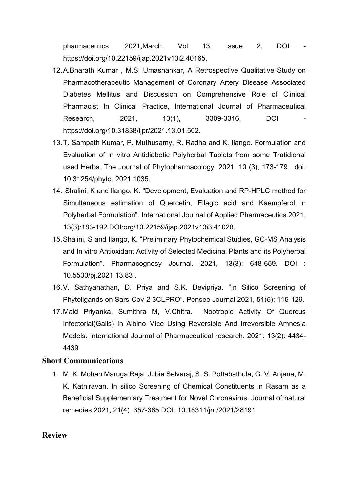pharmaceutics, 2021, March, Vol 13, Issue 2, DOI https://doi.org/10.22159/ijap.2021v13i2.40165.

- 12.A.Bharath Kumar , M.S .Umashankar, A Retrospective Qualitative Study on Pharmacotherapeutic Management of Coronary Artery Disease Associated Diabetes Mellitus and Discussion on Comprehensive Role of Clinical Pharmacist In Clinical Practice, International Journal of Pharmaceutical Research, 2021, 13(1), 3309-3316, DOI https://doi.org/10.31838/ijpr/2021.13.01.502.
- 13.T. Sampath Kumar, P. Muthusamy, R. Radha and K. Ilango. Formulation and Evaluation of in vitro Antidiabetic Polyherbal Tablets from some Tratidional used Herbs. The Journal of Phytopharmacology. 2021, 10 (3); 173-179. doi: 10.31254/phyto. 2021.1035.
- 14. Shalini, K and Ilango, K. "Development, Evaluation and RP-HPLC method for Simultaneous estimation of Quercetin, Ellagic acid and Kaempferol in Polyherbal Formulation". International Journal of Applied Pharmaceutics.2021, 13(3):183-192.DOI:org/10.22159/ijap.2021v13i3.41028.
- 15.Shalini, S and Ilango, K. "Preliminary Phytochemical Studies, GC-MS Analysis and In vitro Antioxidant Activity of Selected Medicinal Plants and its Polyherbal Formulation". Pharmacognosy Journal. 2021, 13(3): 648-659. DOI : 10.5530/pj.2021.13.83 .
- 16.V. Sathyanathan, D. Priya and S.K. Devipriya. "In Silico Screening of Phytoligands on Sars-Cov-2 3CLPRO". Pensee Journal 2021, 51(5): 115-129.
- 17.Maid Priyanka, Sumithra M, V.Chitra. Nootropic Activity Of Quercus Infectorial(Galls) In Albino Mice Using Reversible And Irreversible Amnesia Models. International Journal of Pharmaceutical research. 2021: 13(2): 4434- 4439

### **Short Communications**

1. M. K. Mohan Maruga Raja, Jubie Selvaraj, S. S. Pottabathula, G. V. Anjana, M. K. Kathiravan. [In silico Screening of Chemical Constituents in Rasam as a](http://www.informaticsjournals.com/index.php/jnr/article/view/28191)  [Beneficial Supplementary Treatment for Novel Coronavirus.](http://www.informaticsjournals.com/index.php/jnr/article/view/28191) Journal of natural remedies 2021, 21(4), 357-365 DOI: [10.18311/jnr/2021/28191](https://doi.org/10.18311/jnr/2021/28191)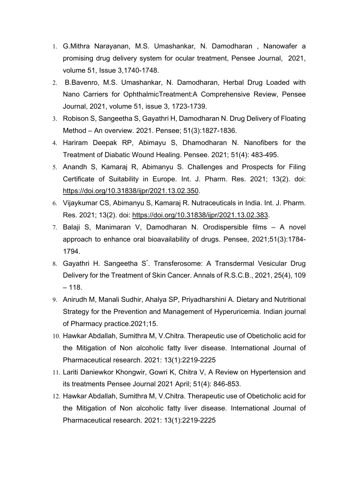- 1. G.Mithra Narayanan, M.S. Umashankar, N. Damodharan , Nanowafer a promising drug delivery system for ocular treatment, Pensee Journal, 2021, volume 51, Issue 3,1740-1748.
- 2. B.Bavenro, M.S. Umashankar, N. Damodharan, Herbal Drug Loaded with Nano Carriers for OphthalmicTreatment:A Comprehensive Review, Pensee Journal, 2021, volume 51, issue 3, 1723-1739.
- 3. Robison S, Sangeetha S, Gayathri H, Damodharan N. Drug Delivery of Floating Method – An overview. 2021. Pensee; 51(3):1827-1836.
- 4. Hariram Deepak RP, Abimayu S, Dhamodharan N. Nanofibers for the Treatment of Diabatic Wound Healing. Pensee. 2021; 51(4): 483-495.
- 5. Anandh S, Kamaraj R, Abimanyu S. Challenges and Prospects for Filing Certificate of Suitability in Europe. Int. J. Pharm. Res. 2021; 13(2). doi: [https://doi.org/10.31838/ijpr/2021.13.02.350.](https://doi.org/10.31838/ijpr/2021.13.02.350)
- 6. Vijaykumar CS, Abimanyu S, Kamaraj R. Nutraceuticals in India. Int. J. Pharm. Res. 2021; 13(2). doi: [https://doi.org/10.31838/ijpr/2021.13.02.383.](https://doi.org/10.31838/ijpr/2021.13.02.383)
- 7. Balaji S, Manimaran V, Damodharan N. Orodispersible films A novel approach to enhance oral bioavailability of drugs. Pensee, 2021;51(3):1784- 1794.
- 8. Gayathri H. Sangeetha S\* . Transferosome: A Transdermal Vesicular Drug Delivery for the Treatment of Skin Cancer. Annals of R.S.C.B., 2021, 25(4), 109  $-118.$
- 9. Anirudh M, Manali Sudhir, Ahalya SP, Priyadharshini A. Dietary and Nutritional Strategy for the Prevention and Management of Hyperuricemia. Indian journal of Pharmacy practice.2021;15.
- 10. Hawkar Abdallah, Sumithra M, V.Chitra. Therapeutic use of Obeticholic acid for the Mitigation of Non alcoholic fatty liver disease. International Journal of Pharmaceutical research. 2021: 13(1):2219-2225
- 11. Lariti Daniewkor Khongwir, Gowri K, Chitra V, A Review on Hypertension and its treatments Pensee Journal 2021 April; 51(4): 846-853.
- 12. Hawkar Abdallah, Sumithra M, V.Chitra. Therapeutic use of Obeticholic acid for the Mitigation of Non alcoholic fatty liver disease. International Journal of Pharmaceutical research. 2021: 13(1):2219-2225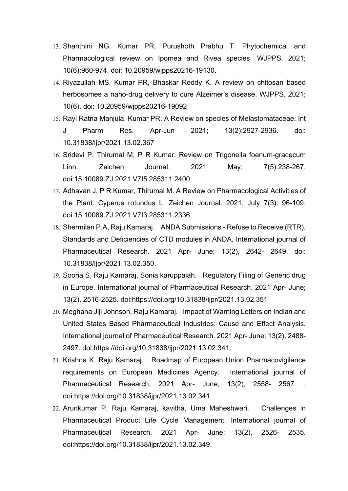- 13. Shanthini NG, Kumar PR, Purushoth Prabhu T. Phytochemical and Pharmacological review on Ipomea and Rivea species. WJPPS. 2021; 10(6):960-974. doi: 10.20959/wjpps20216-19130.
- 14. Riyazullah MS, Kumar PR, Bhaskar Reddy K. A review on chitosan based herbosomes a nano-drug delivery to cure Alzeimer's disease. WJPPS. 2021; 10(6). doi: 10.20959/wjpps20216-19092
- 15. Rayi Ratna Manjula, Kumar PR. A Review on species of Melastomataceae. Int J Pharm Res. Apr-Jun 2021; 13(2):2927-2936. doi: 10.31838/ijpr/2021.13.02.367
- 16. Sridevi P, Thirumal M, P R Kumar. Review on Trigonella foenum-gracecum Linn. Zeichen Journal. 2021 May; 7(5):238-267. doi:15.10089.ZJ.2021.V7I5.285311.2400
- 17. Adhavan J, P R Kumar, Thirumal M. A Review on Pharmacological Activities of the Plant: Cyperus rotundus L. Zeichen Journal. 2021; July 7(3): 96-109. doi:15.10089.ZJ.2021.V7I3.285311.2336.
- 18. Shermilan P.A, Raju Kamaraj. ANDA Submissions Refuse to Receive (RTR). Standards and Deficiencies of CTD modules in ANDA. International journal of Pharmaceutical Research. 2021 Apr- June; 13(2), 2642- 2649. doi: 10.31838/ijpr/2021.13.02.350.
- 19. Sooria S, Raju Kamaraj, Sonia karuppaiah. Regulatory Filing of Generic drug in Europe. International journal of Pharmaceutical Research. 2021 Apr- June; 13(2), 2516-2525. doi:https://doi.org/10.31838/ijpr/2021.13.02.351
- 20. Meghana Jiji Johnson, Raju Kamaraj. Impact of Warning Letters on Indian and United States Based Pharmaceutical Industries: Cause and Effect Analysis. International journal of Pharmaceutical Research. 2021 Apr- June; 13(2), 2488- 2497. doi:https://doi.org/10.31838/ijpr/2021.13.02.341.
- 21. Krishna K, Raju Kamaraj. Roadmap of European Union Pharmacovigilance requirements on European Medicines Agency. International journal of Pharmaceutical Research, 2021 Apr- June; 13(2), 2558- 2567. . doi:https://doi.org/10.31838/ijpr/2021.13.02.341.
- 22. Arunkumar P, Raju Kamaraj, kavitha, Uma Maheshwari. Challenges in Pharmaceutical Product Life Cycle Management. International journal of Pharmaceutical Research. 2021 Apr- June; 13(2), 2526- 2535. doi:https://doi.org/10.31838/ijpr/2021.13.02.349.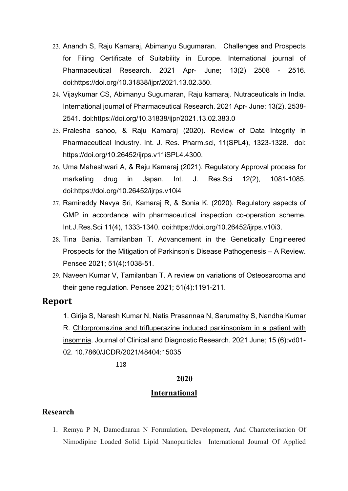- 23. Anandh S, Raju Kamaraj, Abimanyu Sugumaran. Challenges and Prospects for Filing Certificate of Suitability in Europe. International journal of Pharmaceutical Research. 2021 Apr- June; 13(2) 2508 - 2516. doi:https://doi.org/10.31838/ijpr/2021.13.02.350.
- 24. Vijaykumar CS, Abimanyu Sugumaran, Raju kamaraj. Nutraceuticals in India. International journal of Pharmaceutical Research. 2021 Apr- June; 13(2), 2538- 2541. doi:https://doi.org/10.31838/ijpr/2021.13.02.383.0
- 25. Pralesha sahoo, & Raju Kamaraj (2020). Review of Data Integrity in Pharmaceutical Industry. Int. J. Res. Pharm.sci, 11(SPL4), 1323-1328. doi: https://doi.org/10.26452/ijrps.v11iSPL4.4300.
- 26. Uma Maheshwari A, & Raju Kamaraj (2021). Regulatory Approval process for marketing drug in Japan. Int. J. Res.Sci 12(2), 1081-1085. doi:https://doi.org/10.26452/ijrps.v10i4
- 27. Ramireddy Navya Sri, Kamaraj R, & Sonia K. (2020). Regulatory aspects of GMP in accordance with pharmaceutical inspection co-operation scheme. Int.J.Res.Sci 11(4), 1333-1340. doi:https://doi.org/10.26452/ijrps.v10i3.
- 28. Tina Bania, Tamilanban T. Advancement in the Genetically Engineered Prospects for the Mitigation of Parkinson's Disease Pathogenesis – A Review. Pensee 2021; 51(4):1038-51.
- 29. Naveen Kumar V, Tamilanban T. A review on variations of Osteosarcoma and their gene regulation. Pensee 2021; 51(4):1191-211.

# **Report**

1. Girija S, Naresh Kumar N, Natis Prasannaa N, Sarumathy S, Nandha Kumar R. [Chlorpromazine and trifluperazine induced parkinsonism in a patient with](https://scholar.google.co.in/citations?view_op=view_citation&hl=en&user=wgshGYgAAAAJ&citation_for_view=wgshGYgAAAAJ%3Aj3f4tGmQtD8C) [insomnia.](https://scholar.google.co.in/citations?view_op=view_citation&hl=en&user=wgshGYgAAAAJ&citation_for_view=wgshGYgAAAAJ%3Aj3f4tGmQtD8C) Journal of Clinical and Diagnostic Research. 2021 June; 15 (6):vd01- 02. 10.7860/JCDR/2021/48404:15035

118

### **2020**

## **International**

## **Research**

1. Remya P N, Damodharan N Formulation, Development, And Characterisation Of Nimodipine Loaded Solid Lipid Nanoparticles International Journal Of Applied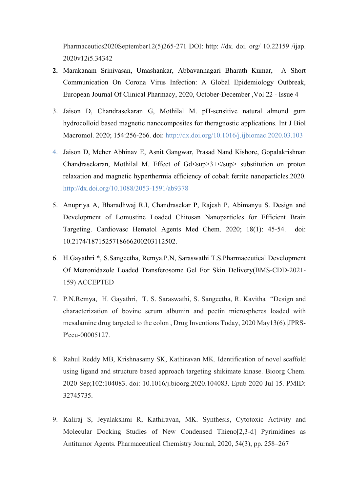Pharmaceutics2020September12(5)265-271 DOI: http: //dx. doi. org/ 10.22159 /ijap. 2020v12i5.34342

- **2.** Marakanam Srinivasan, Umashankar, Abbavannagari Bharath Kumar, A Short Communication On Corona Virus Infection: A Global Epidemiology Outbreak, European Journal Of Clinical Pharmacy, 2020, October-December ,Vol 22 - Issue 4
- 3. Jaison D, Chandrasekaran G, Mothilal M. pH-sensitive natural almond gum hydrocolloid based magnetic nanocomposites for theragnostic applications. Int J Biol Macromol. 2020; 154:256-266. doi:<http://dx.doi.org/10.1016/j.ijbiomac.2020.03.103>
- 4. Jaison D, Meher Abhinav E, Asnit Gangwar, Prasad Nand Kishore, Gopalakrishnan Chandrasekaran, Mothilal M. Effect of Gd<sup>3+</sup> substitution on proton relaxation and magnetic hyperthermia efficiency of cobalt ferrite nanoparticles.2020. http://dx.doi.org/10.1088/2053-1591/ab9378
- 5. Anupriya A, Bharadhwaj R.I, Chandrasekar P, Rajesh P, Abimanyu S. Design and Development of Lomustine Loaded Chitosan Nanoparticles for Efficient Brain Targeting. Cardiovasc Hematol Agents Med Chem. 2020; 18(1): 45-54. doi: 10.2174/1871525718666200203112502.
- 6. H.Gayathri \*, S.Sangeetha, Remya.P.N, Saraswathi T.S.Pharmaceutical Development Of Metronidazole Loaded Transferosome Gel For Skin Delivery(BMS-CDD-2021- 159) ACCEPTED
- 7. P.N.Remya, H. Gayathri, T. S. Saraswathi, S. Sangeetha, R. Kavitha "Design and characterization of bovine serum albumin and pectin microspheres loaded with mesalamine drug targeted to the colon , Drug Inventions Today, 2020 May13(6). JPRS-P'ceu-00005127.
- 8. Rahul Reddy MB, Krishnasamy SK, Kathiravan MK. Identification of novel scaffold using ligand and structure based approach targeting shikimate kinase. Bioorg Chem. 2020 Sep;102:104083. doi: 10.1016/j.bioorg.2020.104083. Epub 2020 Jul 15. PMID: 32745735.
- 9. Kaliraj S, Jeyalakshmi R, Kathiravan, MK. Synthesis, Cytotoxic Activity and Molecular Docking Studies of New Condensed Thieno[2,3-d] Pyrimidines as Antitumor Agents. Pharmaceutical Chemistry Journal, 2020, 54(3), pp. 258–267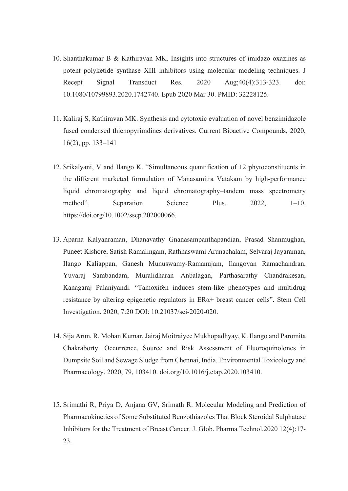- 10. Shanthakumar B & Kathiravan MK. Insights into structures of imidazo oxazines as potent polyketide synthase XIII inhibitors using molecular modeling techniques. J Recept Signal Transduct Res. 2020 Aug;40(4):313-323. doi: 10.1080/10799893.2020.1742740. Epub 2020 Mar 30. PMID: 32228125.
- 11. Kaliraj S, Kathiravan MK. Synthesis and cytotoxic evaluation of novel benzimidazole fused condensed thienopyrimdines derivatives. Current Bioactive Compounds, 2020, 16(2), pp. 133–141
- 12. Srikalyani, V and Ilango K. "Simultaneous quantification of 12 phytoconstituents in the different marketed formulation of Manasamitra Vatakam by high-performance liquid chromatography and liquid chromatography–tandem mass spectrometry method". Separation Science Plus. 2022, 1–10. https://doi.org/10.1002/sscp.202000066.
- 13. Aparna Kalyanraman, Dhanavathy Gnanasampanthapandian, Prasad Shanmughan, Puneet Kishore, Satish Ramalingam, Rathnaswami Arunachalam, Selvaraj Jayaraman, Ilango Kaliappan, Ganesh Munuswamy-Ramanujam, Ilangovan Ramachandran, Yuvaraj Sambandam, Muralidharan Anbalagan, Parthasarathy Chandrakesan, Kanagaraj Palaniyandi. "Tamoxifen induces stem-like phenotypes and multidrug resistance by altering epigenetic regulators in ERα+ breast cancer cells". Stem Cell Investigation. 2020, 7:20 DOI: 10.21037/sci-2020-020.
- 14. Sija Arun, R. Mohan Kumar, Jairaj Moitraiyee Mukhopadhyay, K. Ilango and Paromita Chakraborty. Occurrence, Source and Risk Assessment of Fluoroquinolones in Dumpsite Soil and Sewage Sludge from Chennai, India. Environmental Toxicology and Pharmacology. 2020, 79, 103410. doi.org/10.1016/j.etap.2020.103410.
- 15. Srimathi R, Priya D, Anjana GV, Srimath R. Molecular Modeling and Prediction of Pharmacokinetics of Some Substituted Benzothiazoles That Block Steroidal Sulphatase Inhibitors for the Treatment of Breast Cancer. J. Glob. Pharma Technol.2020 12(4):17- 23.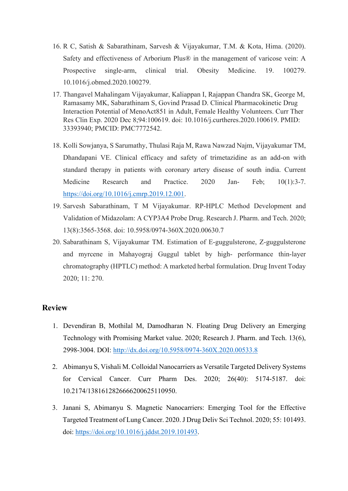- 16. R C, Satish & Sabarathinam, Sarvesh & Vijayakumar, T.M. & Kota, Hima. (2020). Safety and effectiveness of Arborium Plus® in the management of varicose vein: A Prospective single-arm, clinical trial. Obesity Medicine. 19. 100279. 10.1016/j.obmed.2020.100279.
- 17. Thangavel Mahalingam Vijayakumar, Kaliappan I, Rajappan Chandra SK, George M, Ramasamy MK, Sabarathinam S, Govind Prasad D. Clinical Pharmacokinetic Drug Interaction Potential of MenoAct851 in Adult, Female Healthy Volunteers. Curr Ther Res Clin Exp. 2020 Dec 8;94:100619. doi: 10.1016/j.curtheres.2020.100619. PMID: 33393940; PMCID: PMC7772542.
- 18. Kolli Sowjanya, S Sarumathy, Thulasi Raja M, Rawa Nawzad Najm, Vijayakumar TM, Dhandapani VE. Clinical efficacy and safety of trimetazidine as an add-on with standard therapy in patients with coronary artery disease of south india. Current Medicine Research and Practice. 2020 Jan- Feb: 10(1):3-7. [https://doi.org/10.1016/j.cmrp.2019.12.001.](https://doi.org/10.1016/j.cmrp.2019.12.001)
- 19. Sarvesh Sabarathinam, T M Vijayakumar. RP-HPLC Method Development and Validation of Midazolam: A CYP3A4 Probe Drug. Research J. Pharm. and Tech. 2020; 13(8):3565-3568. doi: 10.5958/0974-360X.2020.00630.7
- 20. Sabarathinam S, Vijayakumar TM. Estimation of E-guggulsterone, Z-guggulsterone and myrcene in Mahayograj Guggul tablet by high- performance thin-layer chromatography (HPTLC) method: A marketed herbal formulation. Drug Invent Today 2020; 11: 270.

- 1. Devendiran B, Mothilal M, Damodharan N. Floating Drug Delivery an Emerging Technology with Promising Market value. 2020; Research J. Pharm. and Tech. 13(6), 2998-3004. DOI:<http://dx.doi.org/10.5958/0974-360X.2020.00533.8>
- 2. Abimanyu S, Vishali M. Colloidal Nanocarriers as Versatile Targeted Delivery Systems for Cervical Cancer. Curr Pharm Des. 2020; 26(40): 5174-5187. doi: 10.2174/1381612826666200625110950.
- 3. Janani S, Abimanyu S. Magnetic Nanocarriers: Emerging Tool for the Effective Targeted Treatment of Lung Cancer. 2020. J Drug Deliv Sci Technol. 2020; 55: 101493. doi: [https://doi.org/10.1016/j.jddst.2019.101493.](https://doi.org/10.1016/j.jddst.2019.101493)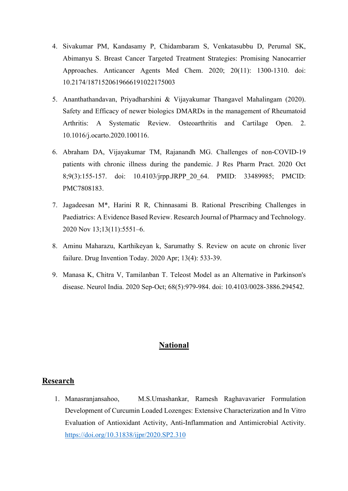- 4. Sivakumar PM, Kandasamy P, Chidambaram S, Venkatasubbu D, Perumal SK, Abimanyu S. Breast Cancer Targeted Treatment Strategies: Promising Nanocarrier Approaches. Anticancer Agents Med Chem. 2020; 20(11): 1300-1310. doi: 10.2174/1871520619666191022175003
- 5. Ananthathandavan, Priyadharshini & Vijayakumar Thangavel Mahalingam (2020). Safety and Efficacy of newer biologics DMARDs in the management of Rheumatoid Arthritis: A Systematic Review. Osteoarthritis and Cartilage Open. 2. 10.1016/j.ocarto.2020.100116.
- 6. Abraham DA, Vijayakumar TM, Rajanandh MG. Challenges of non-COVID-19 patients with chronic illness during the pandemic. J Res Pharm Pract. 2020 Oct 8;9(3):155-157. doi: 10.4103/jrpp.JRPP\_20\_64. PMID: 33489985; PMCID: PMC7808183.
- 7. Jagadeesan M\*, Harini R R, Chinnasami B. Rational Prescribing Challenges in Paediatrics: A Evidence Based Review. Research Journal of Pharmacy and Technology. 2020 Nov 13;13(11):5551–6.
- 8. Aminu Maharazu, Karthikeyan k, Sarumathy S. Review on acute on chronic liver failure. Drug Invention Today. 2020 Apr; 13(4): 533-39.
- 9. Manasa K, Chitra V, Tamilanban T. Teleost Model as an Alternative in Parkinson's disease. Neurol India. 2020 Sep-Oct; 68(5):979-984. doi: 10.4103/0028-3886.294542.

## **National**

### **Research**

1. Manasranjansahoo, M.S.Umashankar, Ramesh Raghavavarier Formulation Development of Curcumin Loaded Lozenges: Extensive Characterization and In Vitro Evaluation of Antioxidant Activity, Anti-Inflammation and Antimicrobial Activity. <https://doi.org/10.31838/ijpr/2020.SP2.310>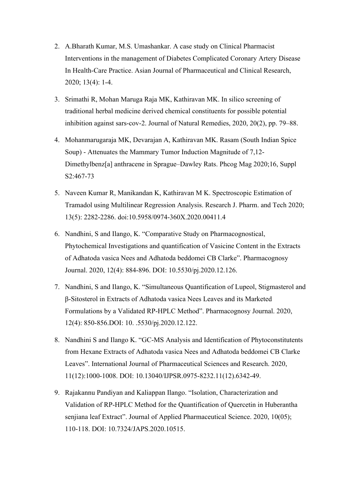- 2. A.Bharath Kumar, M.S. Umashankar. A case study on Clinical Pharmacist Interventions in the management of Diabetes Complicated Coronary Artery Disease In Health-Care Practice. Asian Journal of Pharmaceutical and Clinical Research, 2020; 13(4): 1-4.
- 3. Srimathi R, Mohan Maruga Raja MK, Kathiravan MK. In silico screening of traditional herbal medicine derived chemical constituents for possible potential inhibition against sars-cov-2. Journal of Natural Remedies, 2020, 20(2), pp. 79–88.
- 4. Mohanmarugaraja MK, Devarajan A, Kathiravan MK. Rasam (South Indian Spice Soup) - Attenuates the Mammary Tumor Induction Magnitude of 7,12- Dimethylbenz[a] anthracene in Sprague–Dawley Rats. Phcog Mag 2020;16, Suppl S2:467-73
- 5. Naveen Kumar R, Manikandan K, Kathiravan M K. Spectroscopic Estimation of Tramadol using Multilinear Regression Analysis. Research J. Pharm. and Tech 2020; 13(5): 2282-2286. doi:10.5958/0974-360X.2020.00411.4
- 6. Nandhini, S and Ilango, K. "Comparative Study on Pharmacognostical, Phytochemical Investigations and quantification of Vasicine Content in the Extracts of Adhatoda vasica Nees and Adhatoda beddomei CB Clarke". Pharmacognosy Journal. 2020, 12(4): 884-896. DOI: 10.5530/pj.2020.12.126.
- 7. Nandhini, S and Ilango, K. "Simultaneous Quantification of Lupeol, Stigmasterol and β-Sitosterol in Extracts of Adhatoda vasica Nees Leaves and its Marketed Formulations by a Validated RP-HPLC Method". Pharmacognosy Journal. 2020, 12(4): 850-856.DOI: 10. .5530/pj.2020.12.122.
- 8. Nandhini S and Ilango K. "GC-MS Analysis and Identification of Phytoconstitutents from Hexane Extracts of Adhatoda vasica Nees and Adhatoda beddomei CB Clarke Leaves". International Journal of Pharmaceutical Sciences and Research. 2020, 11(12):1000-1008. DOI: 10.13040/IJPSR.0975-8232.11(12).6342-49.
- 9. Rajakannu Pandiyan and Kaliappan Ilango. "Isolation, Characterization and Validation of RP-HPLC Method for the Quantification of Quercetin in Huberantha senjiana leaf Extract". Journal of Applied Pharmaceutical Science. 2020, 10(05); 110-118. DOI: 10.7324/JAPS.2020.10515.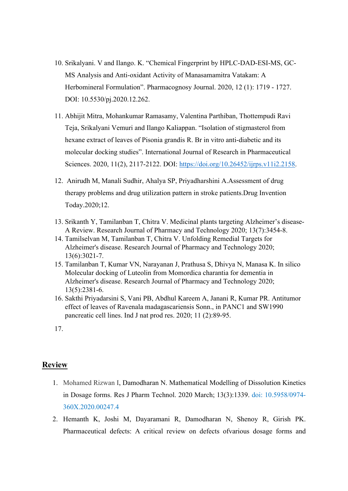- 10. Srikalyani. V and Ilango. K. "Chemical Fingerprint by HPLC-DAD-ESI-MS, GC-MS Analysis and Anti-oxidant Activity of Manasamamitra Vatakam: A Herbomineral Formulation". Pharmacognosy Journal. 2020, 12 (1): 1719 - 1727. DOI: 10.5530/pj.2020.12.262.
- 11. Abhijit Mitra, Mohankumar Ramasamy, Valentina Parthiban, Thottempudi Ravi Teja, Srikalyani Vemuri and Ilango Kaliappan. "Isolation of stigmasterol from hexane extract of leaves of Pisonia grandis R. Br in vitro anti-diabetic and its molecular docking studies". International Journal of Research in Pharmaceutical Sciences. 2020, 11(2), 2117-2122. DOI: [https://doi.org/10.26452/ijrps.v11i2.2158.](https://doi.org/10.26452/ijrps.v11i2.2158)
- 12. Anirudh M, Manali Sudhir, Ahalya SP, Priyadharshini A.Assessment of drug therapy problems and drug utilization pattern in stroke patients.Drug Invention Today.2020;12.
- 13. Srikanth Y, Tamilanban T, Chitra V. Medicinal plants targeting Alzheimer's disease-A Review. Research Journal of Pharmacy and Technology 2020; 13(7):3454-8.
- 14. Tamilselvan M, Tamilanban T, Chitra V. Unfolding Remedial Targets for Alzheimer's disease. Research Journal of Pharmacy and Technology 2020; 13(6):3021-7.
- 15. Tamilanban T, Kumar VN, Narayanan J, Prathusa S, Dhivya N, Manasa K. In silico Molecular docking of Luteolin from Momordica charantia for dementia in Alzheimer's disease. Research Journal of Pharmacy and Technology 2020; 13(5):2381-6.
- 16. Sakthi Priyadarsini S, Vani PB, Abdhul Kareem A, Janani R, Kumar PR. Antitumor effect of leaves of Ravenala madagascariensis Sonn., in PANC1 and SW1990 pancreatic cell lines. Ind J nat prod res. 2020; 11 (2):89-95.

- 1. [Mohamed Rizwan I,](https://rjptonline.org/search.aspx?key=Mohamed%20Rizwan%20I) Damodharan N. Mathematical Modelling of Dissolution Kinetics in Dosage forms. Res J Pharm Technol. 2020 March; 13(3):1339. doi: 10.5958/0974- 360X.2020.00247.4
- 2. Hemanth K, Joshi M, Dayaramani R, Damodharan N, Shenoy R, Girish PK. Pharmaceutical defects: A critical review on defects ofvarious dosage forms and

<sup>17.</sup>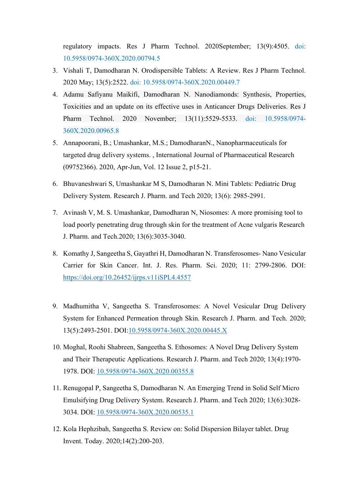regulatory impacts. Res J Pharm Technol. 2020September; 13(9):4505. doi: 10.5958/0974-360X.2020.00794.5

- 3. Vishali T, Damodharan N. Orodispersible Tablets: A Review. Res J Pharm Technol. 2020 May; 13(5):2522. doi: 10.5958/0974-360X.2020.00449.7
- 4. Adamu Safiyanu Maikifi, Damodharan N. Nanodiamonds: Synthesis, Properties, Toxicities and an update on its effective uses in Anticancer Drugs Deliveries. Res J Pharm Technol. 2020 November; 13(11):5529-5533. doi: 10.5958/0974- 360X.2020.00965.8
- 5. [Annapoorani, B.;](https://library.ajman.ac.ae/eds?search=y&query=%22ANNAPOORANI%2C+B%2E%22&type=AR&searchfield=AU) [Umashankar, M.S.;](https://library.ajman.ac.ae/eds?search=y&query=%22UMASHANKAR%2C+M%2E+S%2E%22&type=AR&searchfield=AU) DamodharanN., [Nanopharmaceuticals for](https://library.ajman.ac.ae/eds/detail?db=asn&an=142659248)  [targeted drug delivery systems.](https://library.ajman.ac.ae/eds/detail?db=asn&an=142659248) , International Journal of Pharmaceutical Research (09752366). 2020, Apr-Jun, Vol. 12 Issue 2, p15-21.
- 6. Bhuvaneshwari S, Umashankar M S, Damodharan N. Mini Tablets: Pediatric Drug Delivery System. Research J. Pharm. and Tech 2020; 13(6): 2985-2991.
- 7. Avinash V, M. S. Umashankar, Damodharan N, Niosomes: A more promising tool to load poorly penetrating drug through skin for the treatment of Acne vulgaris Research J. Pharm. and Tech.2020; 13(6):3035-3040.
- 8. Komathy J, Sangeetha S, Gayathri H, Damodharan N. Transferosomes- Nano Vesicular Carrier for Skin Cancer. Int. J. Res. Pharm. Sci. 2020; 11: 2799-2806. DOI: <https://doi.org/10.26452/ijrps.v11iSPL4.4557>
- 9. Madhumitha V, Sangeetha S. Transferosomes: A Novel Vesicular Drug Delivery System for Enhanced Permeation through Skin. Research J. Pharm. and Tech. 2020; 13(5):2493-2501. DOI[:10.5958/0974-360X.2020.00445.X](https://doi.org/10.5958/0974-360X.2020.00445.X)
- 10. Moghal, Roohi Shabreen, Sangeetha S. Ethosomes: A Novel Drug Delivery System and Their Therapeutic Applications. Research J. Pharm. and Tech 2020; 13(4):1970- 1978. DOI: [10.5958/0974-360X.2020.00355.8](https://doi.org/10.5958/0974-360X.2020.00355.8)
- 11. Renugopal P, Sangeetha S, Damodharan N. An Emerging Trend in Solid Self Micro Emulsifying Drug Delivery System. Research J. Pharm. and Tech 2020; 13(6):3028- 3034. DOI: [10.5958/0974-360X.2020.00535.1](https://doi.org/10.5958/0974-360X.2020.00535.1)
- 12. Kola Hephzibah, Sangeetha S. Review on: Solid Dispersion Bilayer tablet. Drug Invent. Today. 2020;14(2):200-203.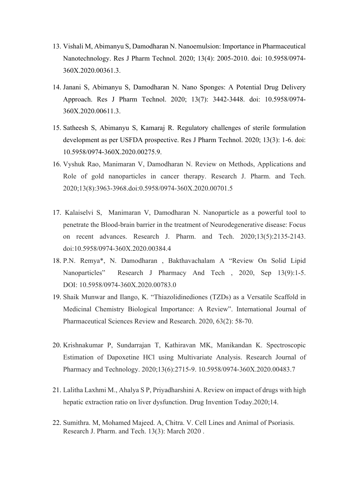- 13. Vishali M, Abimanyu S, Damodharan N. Nanoemulsion: Importance in Pharmaceutical Nanotechnology. Res J Pharm Technol. 2020; 13(4): 2005-2010. doi: 10.5958/0974- 360X.2020.00361.3.
- 14. Janani S, Abimanyu S, Damodharan N. Nano Sponges: A Potential Drug Delivery Approach. Res J Pharm Technol. 2020; 13(7): 3442-3448. doi: 10.5958/0974- 360X.2020.00611.3.
- 15. Satheesh S, Abimanyu S, Kamaraj R. Regulatory challenges of sterile formulation development as per USFDA prospective. Res J Pharm Technol. 2020; 13(3): 1-6. doi: 10.5958/0974-360X.2020.00275.9.
- 16. Vyshuk Rao, Manimaran V, Damodharan N. Review on Methods, Applications and Role of gold nanoparticles in cancer therapy. Research J. Pharm. and Tech. 2020;13(8):3963-3968.doi[:0.5958/0974-360X.2020.00701.5](https://doi.org/10.5958/0974-360X.2020.00701.5)
- 17. Kalaiselvi S, Manimaran V, Damodharan N. Nanoparticle as a powerful tool to penetrate the Blood-brain barrier in the treatment of Neurodegenerative disease: Focus on recent advances. Research J. Pharm. and Tech. 2020;13(5):2135-2143. doi[:10.5958/0974-360X.2020.00384.4](https://doi.org/10.5958/0974-360X.2020.00384.4)
- 18. P.N. Remya\*, N. Damodharan , Bakthavachalam A "Review On Solid Lipid Nanoparticles" Research J Pharmacy And Tech , 2020, Sep 13(9):1-5. DOI: [10.5958/0974-360X.2020.00783.0](https://doi.org/10.5958/0974-360X.2020.00783.0)
- 19. Shaik Munwar and Ilango, K. "Thiazolidinediones (TZDs) as a Versatile Scaffold in Medicinal Chemistry Biological Importance: A Review". International Journal of Pharmaceutical Sciences Review and Research. 2020, 63(2): 58-70.
- 20. Krishnakumar P, Sundarrajan T, Kathiravan MK, Manikandan K. Spectroscopic Estimation of Dapoxetine HCl using Multivariate Analysis. Research Journal of Pharmacy and Technology. 2020;13(6):2715-9. 10.5958/0974-360X.2020.00483.7
- 21. Lalitha Laxhmi M., Ahalya S P, Priyadharshini A. Review on impact of drugs with high hepatic extraction ratio on liver dysfunction. Drug Invention Today.2020;14.
- 22. Sumithra. M, Mohamed Majeed. A, Chitra. V. Cell Lines and Animal of Psoriasis. Research J. Pharm. and Tech. 13(3): March 2020 .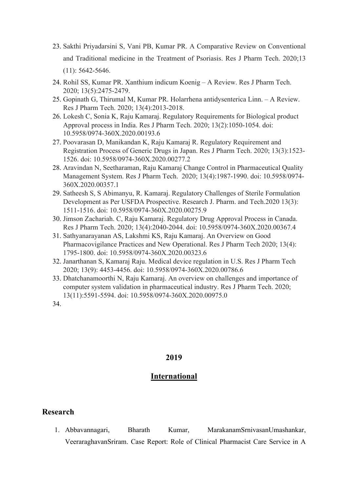- 23. Sakthi Priyadarsini S, Vani PB, Kumar PR. A Comparative Review on Conventional and Traditional medicine in the Treatment of Psoriasis. Res J Pharm Tech. 2020;13 (11): 5642-5646.
- 24. Rohil SS, Kumar PR. Xanthium indicum Koenig A Review. Res J Pharm Tech. 2020; 13(5):2475-2479.
- 25. Gopinath G, Thirumal M, Kumar PR. Holarrhena antidysenterica Linn. A Review. Res J Pharm Tech. 2020; 13(4):2013-2018.
- 26. Lokesh C, Sonia K, Raju Kamaraj. Regulatory Requirements for Biological product Approval process in India. Res J Pharm Tech. 2020; 13(2):1050-1054. doi: 10.5958/0974-360X.2020.00193.6
- 27. Poovarasan D, Manikandan K, Raju Kamaraj R. Regulatory Requirement and Registration Process of Generic Drugs in Japan. Res J Pharm Tech. 2020; 13(3):1523- 1526. doi: 10.5958/0974-360X.2020.00277.2
- 28. Aravindan N, Seetharaman, Raju Kamaraj Change Control in Pharmaceutical Quality Management System. Res J Pharm Tech. 2020; 13(4):1987-1990. doi: 10.5958/0974- 360X.2020.00357.1
- 29. Satheesh S, S Abimanyu, R. Kamaraj. Regulatory Challenges of Sterile Formulation Development as Per USFDA Prospective. Research J. Pharm. and Tech.2020 13(3): 1511-1516. doi: 10.5958/0974-360X.2020.00275.9
- 30. Jimson Zachariah. C, Raju Kamaraj. Regulatory Drug Approval Process in Canada. Res J Pharm Tech. 2020; 13(4):2040-2044. doi: 10.5958/0974-360X.2020.00367.4
- 31. Sathyanarayanan AS, Lakshmi KS, Raju Kamaraj. An Overview on Good Pharmacovigilance Practices and New Operational. Res J Pharm Tech 2020; 13(4): 1795-1800. doi: 10.5958/0974-360X.2020.00323.6
- 32. Janarthanan S, Kamaraj Raju. Medical device regulation in U.S. Res J Pharm Tech 2020; 13(9): 4453-4456. doi: 10.5958/0974-360X.2020.00786.6
- 33. Dhatchanamoorthi N, Raju Kamaraj. An overview on challenges and importance of computer system validation in pharmaceutical industry. Res J Pharm Tech. 2020; 13(11):5591-5594. doi: 10.5958/0974-360X.2020.00975.0

34.

### **2019**

### **International**

### **Research**

1. Abbavannagari, Bharath Kumar, MarakanamSrnivasanUmashankar, VeeraraghavanSriram. Case Report: Role of Clinical Pharmacist Care Service in A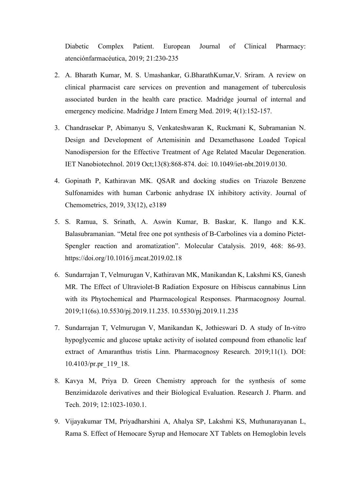Diabetic Complex Patient. European Journal of Clinical Pharmacy: atenciónfarmacéutica, 2019; 21:230-235

- 2. A. Bharath Kumar, M. S. Umashankar, G.BharathKumar,V. Sriram. A review on clinical pharmacist care services on prevention and management of tuberculosis associated burden in the health care practice. Madridge journal of internal and emergency medicine. Madridge J Intern Emerg Med. 2019; 4(1):152-157.
- 3. Chandrasekar P, Abimanyu S, Venkateshwaran K, Ruckmani K, Subramanian N. Design and Development of Artemisinin and Dexamethasone Loaded Topical Nanodispersion for the Effective Treatment of Age Related Macular Degeneration. IET Nanobiotechnol. 2019 Oct;13(8):868-874. doi: 10.1049/iet-nbt.2019.0130.
- 4. Gopinath P, Kathiravan MK. QSAR and docking studies on Triazole Benzene Sulfonamides with human Carbonic anhydrase IX inhibitory activity. Journal of Chemometrics, 2019, 33(12), e3189
- 5. S. Ramua, S. Srinath, A. Aswin Kumar, B. Baskar, K. Ilango and K.K. Balasubramanian. "Metal free one pot synthesis of B-Carbolines via a domino Pictet-Spengler reaction and aromatization". Molecular Catalysis. 2019, 468: 86-93. https://doi.org/10.1016/j.mcat.2019.02.18
- 6. Sundarrajan T, Velmurugan V, Kathiravan MK, Manikandan K, Lakshmi KS, Ganesh MR. The Effect of Ultraviolet-B Radiation Exposure on Hibiscus cannabinus Linn with its Phytochemical and Pharmacological Responses. Pharmacognosy Journal. 2019;11(6s).10.5530/pj.2019.11.235. 10.5530/pj.2019.11.235
- 7. Sundarrajan T, Velmurugan V, Manikandan K, Jothieswari D. A study of In-vitro hypoglycemic and glucose uptake activity of isolated compound from ethanolic leaf extract of Amaranthus tristis Linn. Pharmacognosy Research. 2019;11(1). DOI: 10.4103/pr.pr\_119\_18.
- 8. Kavya M, Priya D. Green Chemistry approach for the synthesis of some Benzimidazole derivatives and their Biological Evaluation. Research J. Pharm. and Tech. 2019; 12:1023-1030.1.
- 9. Vijayakumar TM, Priyadharshini A, Ahalya SP, Lakshmi KS, Muthunarayanan L, Rama S. Effect of Hemocare Syrup and Hemocare XT Tablets on Hemoglobin levels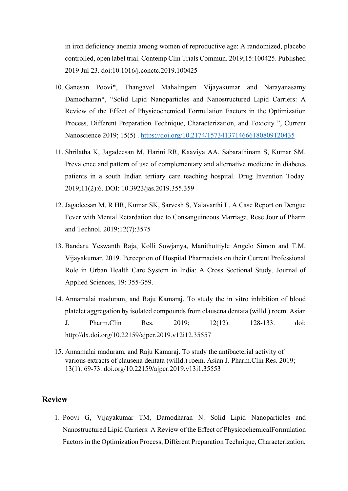in iron deficiency anemia among women of reproductive age: A randomized, placebo controlled, open label trial. Contemp Clin Trials Commun. 2019;15:100425. Published 2019 Jul 23. doi:10.1016/j.conctc.2019.100425

- 10. Ganesan Poovi\*, Thangavel Mahalingam Vijayakumar and Narayanasamy Damodharan\*, "Solid Lipid Nanoparticles and Nanostructured Lipid Carriers: A Review of the Effect of Physicochemical Formulation Factors in the Optimization Process, Different Preparation Technique, Characterization, and Toxicity ", Current Nanoscience 2019; 15(5) .<https://doi.org/10.2174/1573413714666180809120435>
- 11. Shrilatha K, Jagadeesan M, Harini RR, Kaaviya AA, Sabarathinam S, Kumar SM. Prevalence and pattern of use of complementary and alternative medicine in diabetes patients in a south Indian tertiary care teaching hospital. Drug Invention Today. 2019;11(2):6. DOI: 10.3923/jas.2019.355.359
- 12. Jagadeesan M, R HR, Kumar SK, Sarvesh S, Yalavarthi L. A Case Report on Dengue Fever with Mental Retardation due to Consanguineous Marriage. Rese Jour of Pharm and Technol. 2019;12(7):3575
- 13. Bandaru Yeswanth Raja, Kolli Sowjanya, Manithottiyle Angelo Simon and T.M. Vijayakumar, 2019. Perception of Hospital Pharmacists on their Current Professional Role in Urban Health Care System in India: A Cross Sectional Study. Journal of Applied Sciences, 19: 355-359.
- 14. Annamalai maduram, and Raju Kamaraj. To study the in vitro inhibition of blood platelet aggregation by isolated compounds from clausena dentata (willd.) roem. Asian J. Pharm.Clin Res. 2019; 12(12): 128-133. doi: http://dx.doi.org/10.22159/ajpcr.2019.v12i12.35557
- 15. Annamalai maduram, and Raju Kamaraj. To study the antibacterial activity of various extracts of clausena dentata (willd.) roem. Asian J. Pharm.Clin Res. 2019; 13(1): 69-73. doi.org/10.22159/ajpcr.2019.v13i1.35553

### **Review**

1. Poovi G, Vijayakumar TM, Damodharan N. Solid Lipid Nanoparticles and Nanostructured Lipid Carriers: A Review of the Effect of PhysicochemicalFormulation Factors in the Optimization Process, Different Preparation Technique, Characterization,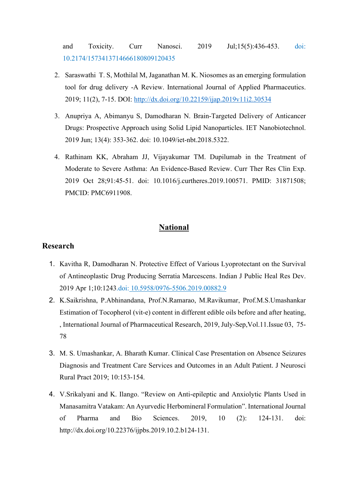and Toxicity. Curr Nanosci. 2019 Jul;15(5):436-453. doi: 10.2174/1573413714666180809120435

- 2. Saraswathi T. S, Mothilal M, Jaganathan M. K. Niosomes as an emerging formulation tool for drug delivery -A Review. International Journal of Applied Pharmaceutics. 2019; 11(2), 7-15. DOI:<http://dx.doi.org/10.22159/ijap.2019v11i2.30534>
- 3. Anupriya A, Abimanyu S, Damodharan N. Brain-Targeted Delivery of Anticancer Drugs: Prospective Approach using Solid Lipid Nanoparticles. IET Nanobiotechnol. 2019 Jun; 13(4): 353-362. doi: 10.1049/iet-nbt.2018.5322.
- 4. Rathinam KK, Abraham JJ, Vijayakumar TM. Dupilumab in the Treatment of Moderate to Severe Asthma: An Evidence-Based Review. Curr Ther Res Clin Exp. 2019 Oct 28;91:45-51. doi: 10.1016/j.curtheres.2019.100571. PMID: 31871508; PMCID: PMC6911908.

## **National**

- 1. Kavitha R, Damodharan N. Protective Effect of Various Lyoprotectant on the Survival of Antineoplastic Drug Producing Serratia Marcescens. Indian J Public Heal Res Dev. 2019 Apr 1;10:1243.doi: [10.5958/0976-5506.2019.00882.9](http://dx.doi.org/10.5958/0976-5506.2019.00882.9)
- 2. K.Saikrishna, P.Abhinandana, Prof.N.Ramarao, M.Ravikumar, Prof.M.S.Umashankar Estimation of Tocopherol (vit-e) content in different edible oils before and after heating, , International Journal of Pharmaceutical Research, 2019, July-Sep,Vol.11.Issue 03, 75- 78
- 3. M. S. Umashankar, A. Bharath Kumar. Clinical Case Presentation on Absence Seizures Diagnosis and Treatment Care Services and Outcomes in an Adult Patient. J Neurosci Rural Pract 2019; 10:153-154.
- 4. V.Srikalyani and K. Ilango. "Review on Anti-epileptic and Anxiolytic Plants Used in Manasamitra Vatakam: An Ayurvedic Herbomineral Formulation". International Journal of Pharma and Bio Sciences. 2019, 10 (2): 124-131. doi: http://dx.doi.org/10.22376/ijpbs.2019.10.2.b124-131.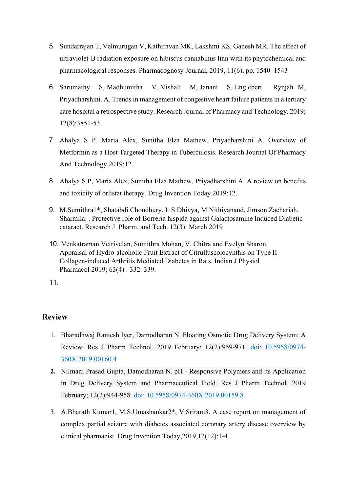- 5. Sundarrajan T, Velmurugan V, Kathiravan MK, Lakshmi KS, Ganesh MR. The effect of ultraviolet-B radiation exposure on hibiscus cannabinus linn with its phytochemical and pharmacological responses. Pharmacognosy Journal, 2019, 11(6), pp. 1540–1543
- 6. Sarumathy S, Madhumitha V, Vishali M, Janani S, Englebert Rynjah M, Priyadharshini. A. Trends in management of congestive heart failure patients in a tertiary care hospital a retrospective study. Research Journal of Pharmacy and Technology. 2019; 12(8):3851-53.
- 7. Ahalya S P, Maria Alex, Sunitha Elza Mathew, Priyadharshini A. Overview of Metformin as a Host Targeted Therapy in Tuberculosis. Research Journal Of Pharmacy And Technology.2019;12.
- 8. Ahalya S P, Maria Alex, Sunitha Elza Mathew, Priyadharshini A. A review on benefits and toxicity of orlistat therapy. Drug Invention Today.2019;12.
- 9. M.Sumithra1\*, Shatabdi Choudhury, L S Dhivya, M Nithiyanand, Jimson Zachariah, Sharmila. . Protective role of Borreria hispida against Galactosamine Induced Diabetic cataract. Research J. Pharm. and Tech. 12(3): March 2019
- 10. Venkatraman Vetrivelan, Sumithra Mohan, V. Chitra and Evelyn Sharon. Appraisal of Hydro-alcoholic Fruit Extract of Citrulluscolocynthis on Type II Collagen-induced Arthritis Mediated Diabetes in Rats. Indian J Physiol Pharmacol 2019; 63(4) : 332–339.

- 1. Bharadhwaj Ramesh Iyer, Damodharan N. Floating Osmotic Drug Delivery System: A Review. Res J Pharm Technol. 2019 February; 12(2):959-971. doi: 10.5958/0974- 360X.2019.00160.4
- **2.** Nilmani Prasad Gupta, Damodharan N. pH Responsive Polymers and its Application in Drug Delivery System and Pharmaceutical Field. Res J Pharm Technol. 2019 February; 12(2):944-958. doi: 10.5958/0974-360X.2019.00159.8
- 3. A.Bharath Kumar1, M.S.Umashankar2\*, V.Sriram3. A case report on management of complex partial seizure with diabetes associated coronary artery disease overview by clinical pharmacist. Drug Invention Today,2019,12(12):1-4.

<sup>11.</sup>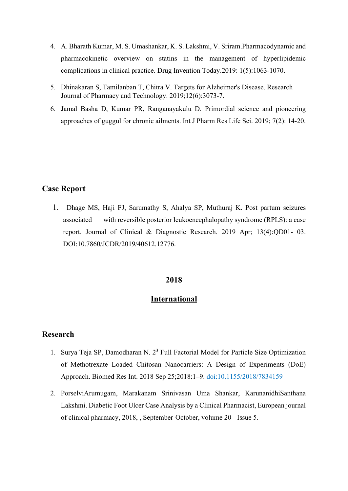- 4. A. Bharath Kumar, M. S. Umashankar, K. S. Lakshmi, V. Sriram.Pharmacodynamic and pharmacokinetic overview on statins in the management of hyperlipidemic complications in clinical practice. Drug Invention Today.2019: 1(5):1063-1070.
- 5. Dhinakaran S, Tamilanban T, Chitra V. Targets for Alzheimer's Disease. Research Journal of Pharmacy and Technology. 2019;12(6):3073-7.
- 6. Jamal Basha D, Kumar PR, Ranganayakulu D. Primordial science and pioneering approaches of guggul for chronic ailments. Int J Pharm Res Life Sci. 2019; 7(2): 14-20.

## **Case Report**

1. Dhage MS, Haji FJ, Sarumathy S, Ahalya SP, Muthuraj K. Post partum seizures associated with reversible posterior leukoencephalopathy syndrome (RPLS): a case report. Journal of Clinical & Diagnostic Research. 2019 Apr; 13(4):QD01- 03. DOI:10.7860/JCDR/2019/40612.12776.

### **2018**

## **International**

- 1. Surva Teja SP, Damodharan N.  $2<sup>3</sup>$  Full Factorial Model for Particle Size Optimization of Methotrexate Loaded Chitosan Nanocarriers: A Design of Experiments (DoE) Approach. Biomed Res Int. 2018 Sep 25;2018:1–9. doi:10.1155/2018/7834159
- 2. PorselviArumugam, Marakanam Srinivasan Uma Shankar, KarunanidhiSanthana Lakshmi. Diabetic Foot Ulcer Case Analysis by a Clinical Pharmacist, European journal of clinical pharmacy, 2018, , September-October, volume 20 - Issue 5.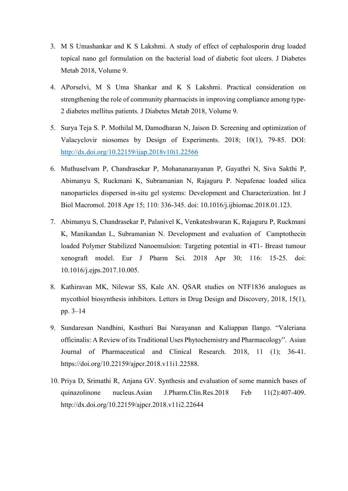- 3. M S Umashankar and K S Lakshmi. A study of effect of cephalosporin drug loaded topical nano gel formulation on the bacterial load of diabetic foot ulcers. J Diabetes Metab 2018, Volume 9.
- 4. APorselvi, M S Uma Shankar and K S Lakshmi. Practical consideration on strengthening the role of community pharmacists in improving compliance among type-2 diabetes mellitus patients. J Diabetes Metab 2018, Volume 9.
- 5. Surya Teja S. P. Mothilal M, Damodharan N, Jaison D. Screening and optimization of Valacyclovir niosomes by Design of Experiments. 2018; 10(1), 79-85. DOI: <http://dx.doi.org/10.22159/ijap.2018v10i1.22566>
- 6. Muthuselvam P, Chandrasekar P, Mohananarayanan P, Gayathri N, Siva Sakthi P, Abimanyu S, Ruckmani K, Subramanian N, Rajaguru P. Nepafenac loaded silica nanoparticles dispersed in-situ gel systems: Development and Characterization. Int J Biol Macromol. 2018 Apr 15; 110: 336-345. doi: 10.1016/j.ijbiomac.2018.01.123.
- 7. Abimanyu S, Chandrasekar P, Palanivel K, Venkateshwaran K, Rajaguru P, Ruckmani K, Manikandan L, Subramanian N. Development and evaluation of Camptothecin loaded Polymer Stabilized Nanoemulsion: Targeting potential in 4T1- Breast tumour xenograft model. Eur J Pharm Sci. 2018 Apr 30; 116: 15-25. doi: 10.1016/j.ejps.2017.10.005.
- 8. Kathiravan MK, Nilewar SS, Kale AN. QSAR studies on NTF1836 analogues as mycothiol biosynthesis inhibitors. Letters in Drug Design and Discovery, 2018, 15(1), pp. 3–14
- 9. Sundaresan Nandhini, Kasthuri Bai Narayanan and Kaliappan Ilango. "Valeriana officinalis: A Review of its Traditional Uses Phytochemistry and Pharmacology". Asian Journal of Pharmaceutical and Clinical Research. 2018, 11 (1); 36-41. https://doi.org/10.22159/ajpcr.2018.v11i1.22588.
- 10. Priya D, Srimathi R, Anjana GV. Synthesis and evaluation of some mannich bases of quinazolinone nucleus.Asian J.Pharm.Clin.Res.2018 Feb 11(2):407-409. http://dx.doi.org/10.22159/ajpcr.2018.v11i2.22644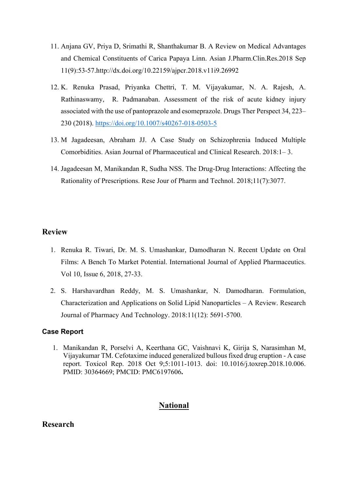- 11. Anjana GV, Priya D, Srimathi R, Shanthakumar B. A Review on Medical Advantages and Chemical Constituents of Carica Papaya Linn. Asian J.Pharm.Clin.Res.2018 Sep 11(9):53-57.http://dx.doi.org/10.22159/ajpcr.2018.v11i9.26992
- 12. K. Renuka Prasad, Priyanka Chettri, T. M. Vijayakumar, N. A. Rajesh, A. Rathinaswamy, R. Padmanaban. Assessment of the risk of acute kidney injury associated with the use of pantoprazole and esomeprazole. Drugs Ther Perspect 34, 223– 230 (2018).<https://doi.org/10.1007/s40267-018-0503-5>
- 13. M Jagadeesan, Abraham JJ. A Case Study on Schizophrenia Induced Multiple Comorbidities. Asian Journal of Pharmaceutical and Clinical Research.  $2018:1-3$ .
- 14. Jagadeesan M, Manikandan R, Sudha NSS. The Drug-Drug Interactions: Affecting the Rationality of Prescriptions. Rese Jour of Pharm and Technol. 2018;11(7):3077.

- 1. Renuka R. Tiwari, Dr. M. S. Umashankar, Damodharan N. Recent Update on Oral Films: A Bench To Market Potential. International Journal of Applied Pharmaceutics. Vol 10, Issue 6, 2018, 27-33.
- 2. [S. Harshavardhan Reddy,](https://scholar.google.co.in/scholar?q=%22S.%20Harshavardhan%20Reddy%22) [M. S. Umashankar,](https://scholar.google.co.in/scholar?q=%22M.%20S.%20Umashankar%22) [N. Damodharan.](https://scholar.google.co.in/scholar?q=%22N.%20Damodharan%22) [Formulation,](http://rjptonline.org/AbstractView.aspx?PID=2018-11-12-80)  [Characterization and Applications on Solid Lipid Nanoparticles –](http://rjptonline.org/AbstractView.aspx?PID=2018-11-12-80) A Review. Research Journal of Pharmacy And Technology. 2018:11(12): 5691-5700.

#### **Case Report**

1. Manikandan R, Porselvi A, Keerthana GC, Vaishnavi K, Girija S, Narasimhan M, Vijayakumar TM. Cefotaxime induced generalized bullous fixed drug eruption - A case report. Toxicol Rep. 2018 Oct 9;5:1011-1013. doi: 10.1016/j.toxrep.2018.10.006. PMID: 30364669; PMCID: PMC6197606**.**

## **National**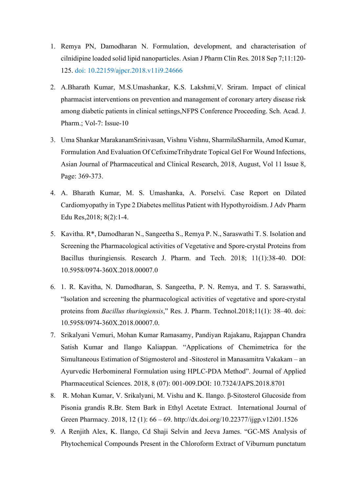- 1. Remya PN, Damodharan N. Formulation, development, and characterisation of cilnidipine loaded solid lipid nanoparticles. Asian J Pharm Clin Res. 2018 Sep 7;11:120- 125. doi: 10.22159/ajpcr.2018.v11i9.24666
- 2. A.Bharath Kumar, M.S.Umashankar, K.S. Lakshmi,V. Sriram. Impact of clinical pharmacist interventions on prevention and management of coronary artery disease risk among diabetic patients in clinical settings,NFPS Conference Proceeding. Sch. Acad. J. Pharm.; Vol-7: Issue-10
- 3. Uma Shankar MarakanamSrinivasan, Vishnu Vishnu, SharmilaSharmila, Amod Kumar, Formulation And Evaluation Of CefiximeTrihydrate Topical Gel For Wound Infections, Asian Journal of Pharmaceutical and Clinical Research, 2018, August, Vol 11 Issue 8, Page: 369-373.
- 4. A. Bharath Kumar, M. S. Umashanka, A. Porselvi. Case Report on Dilated Cardiomyopathy in Type 2 Diabetes mellitus Patient with Hypothyroidism. J Adv Pharm Edu Res,2018; 8(2):1-4.
- 5. Kavitha. R\*, Damodharan N., Sangeetha S., Remya P. N., Saraswathi T. S. Isolation and Screening the Pharmacological activities of Vegetative and Spore-crystal Proteins from Bacillus thuringiensis. Research J. Pharm. and Tech. 2018; 11(1):38-40. DOI: 10.5958/0974-360X.2018.00007.0
- 6. 1. R. Kavitha, N. Damodharan, S. Sangeetha, P. N. Remya, and T. S. Saraswathi, "Isolation and screening the pharmacological activities of vegetative and spore-crystal proteins from *Bacillus thuringiensis*," Res. J. Pharm. Technol.2018;11(1): 38–40. doi: 10.5958/0974-360X.2018.00007.0.
- 7. Srikalyani Vemuri, Mohan Kumar Ramasamy, Pandiyan Rajakanu, Rajappan Chandra Satish Kumar and Ilango Kaliappan. "Applications of Chemimetrica for the Simultaneous Estimation of Stigmosterol and -Sitosterol in Manasamitra Vakakam – an Ayurvedic Herbomineral Formulation using HPLC-PDA Method". Journal of Applied Pharmaceutical Sciences. 2018, 8 (07): 001-009.DOI: 10.7324/JAPS.2018.8701
- 8. R. Mohan Kumar, V. Srikalyani, M. Vishu and K. Ilango. β-Sitosterol Glucoside from Pisonia grandis R.Br. Stem Bark in Ethyl Acetate Extract. International Journal of Green Pharmacy. 2018, 12 (1): 66 – 69. http://dx.doi.org/10.22377/ijgp.v12i01.1526
- 9. A Renjith Alex, K. Ilango, Cd Shaji Selvin and Jeeva James. "GC-MS Analysis of Phytochemical Compounds Present in the Chloroform Extract of Viburnum punctatum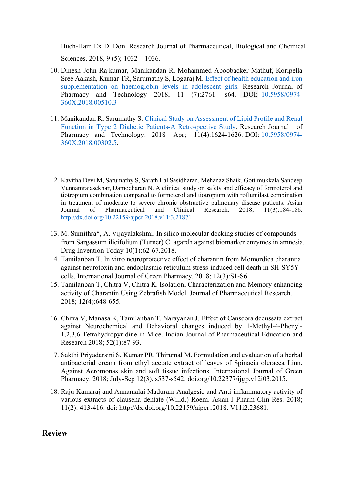Buch-Ham Ex D. Don. Research Journal of Pharmaceutical, Biological and Chemical Sciences. 2018, 9 (5); 1032 – 1036.

- 10. Dinesh John Rajkumar, Manikandan R, Mohammed Aboobacker Mathuf, Koripella Sree Aakash, Kumar TR, Sarumathy S, Logaraj M. [Effect of health](https://scholar.google.co.in/citations?view_op=view_citation&hl=en&user=wgshGYgAAAAJ&cstart=20&pagesize=80&citation_for_view=wgshGYgAAAAJ%3AZeXyd9-uunAC) [education and iron](https://scholar.google.co.in/citations?view_op=view_citation&hl=en&user=wgshGYgAAAAJ&cstart=20&pagesize=80&citation_for_view=wgshGYgAAAAJ%3AZeXyd9-uunAC)  [supplementation on haemoglobin levels in adolescent girls.](https://scholar.google.co.in/citations?view_op=view_citation&hl=en&user=wgshGYgAAAAJ&cstart=20&pagesize=80&citation_for_view=wgshGYgAAAAJ%3AZeXyd9-uunAC) Research Journal of Pharmacy and Technology 2018; 11 (7):2761- s64. DOI: [10.5958/0974-](https://doi.org/10.5958/0974-360X.2018.00510.3) [360X.2018.00510.3](https://doi.org/10.5958/0974-360X.2018.00510.3)
- 11. Manikandan R, Sarumathy S. [Clinical Study on Assessment of Lipid Profile and](https://scholar.google.co.in/citations?view_op=view_citation&hl=en&user=wgshGYgAAAAJ&citation_for_view=wgshGYgAAAAJ%3AL8Ckcad2t8MC) [Renal](https://scholar.google.co.in/citations?view_op=view_citation&hl=en&user=wgshGYgAAAAJ&citation_for_view=wgshGYgAAAAJ%3AL8Ckcad2t8MC)  [Function in Type 2 Diabetic Patients-A Retrospective Study.](https://scholar.google.co.in/citations?view_op=view_citation&hl=en&user=wgshGYgAAAAJ&citation_for_view=wgshGYgAAAAJ%3AL8Ckcad2t8MC) Research Journal of Pharmacy and Technology. 2018 Apr; 11(4):1624-1626. DOI: [10.5958/0974-](https://doi.org/10.5958/0974-360X.2018.00302.5) [360X.2018.00302.5.](https://doi.org/10.5958/0974-360X.2018.00302.5)
- 12. Kavitha Devi M, Sarumathy S, Sarath Lal Sasidharan, Mehanaz Shaik, Gottimukkala Sandeep Vunnamrajasekhar, Damodharan N. A clinical study on safety and efficacy of formoterol and tiotropium combination compared to formoterol and tiotropium with roflumilast combination in treatment of moderate to severe chronic obstructive pulmonary disease patients. Asian Journal of Pharmaceutical and Clinical Research. 2018; 11(3):184-186. <http://dx.doi.org/10.22159/ajpcr.2018.v11i3.21871>
- 13. M. Sumithra\*, A. Vijayalakshmi. In silico molecular docking studies of compounds from Sargassum ilicifolium (Turner) C. agardh against biomarker enzymes in amnesia. Drug Invention Today 10(1):62-67.2018.
- 14. Tamilanban T. In vitro neuroprotective effect of charantin from Momordica charantia against neurotoxin and endoplasmic reticulum stress-induced cell death in SH-SY5Y cells. International Journal of Green Pharmacy. 2018; 12(3):S1-S6.
- 15. Tamilanban T, Chitra V, Chitra K. Isolation, Characterization and Memory enhancing activity of Charantin Using Zebrafish Model. Journal of Pharmaceutical Research. 2018; 12(4):648-655.
- 16. Chitra V, Manasa K, Tamilanban T, Narayanan J. Effect of Canscora decussata extract against Neurochemical and Behavioral changes induced by 1-Methyl-4-Phenyl-1,2,3,6-Tetrahydropyridine in Mice. Indian Journal of Pharmaceutical Education and Research 2018; 52(1):87-93.
- 17. Sakthi Priyadarsini S, Kumar PR, Thirumal M. Formulation and evaluation of a herbal antibacterial cream from ethyl acetate extract of leaves of Spinacia oleracea Linn. Against Aeromonas skin and soft tissue infections. International Journal of Green Pharmacy. 2018; July-Sep 12(3), s537-s542. doi.org/10.22377/ijgp.v12i03.2015.
- 18. Raju Kamaraj and Annamalai Maduram Analgesic and Anti-inflammatory activity of various extracts of clausena dentate (Willd.) Roem. Asian J Pharm Clin Res. 2018; 11(2): 413-416. doi: http://dx.doi.org/10.22159/aipcr..2018. V11i2.23681.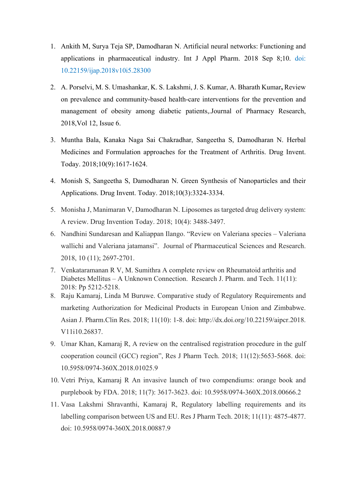- 1. Ankith M, Surya Teja SP, Damodharan N. Artificial neural networks: Functioning and applications in pharmaceutical industry. Int J Appl Pharm. 2018 Sep 8;10. doi: 10.22159/ijap.2018v10i5.28300
- 2. A. Porselvi, M. S. Umashankar, K. S. Lakshmi, J. S. Kumar, A. Bharath Kumar**,** Review on prevalence and community-based health-care interventions for the prevention and management of obesity among diabetic patients,.Journal of Pharmacy Research, 2018,Vol 12, Issue 6.
- 3. Muntha Bala, Kanaka Naga Sai Chakradhar, Sangeetha S, Damodharan N. Herbal Medicines and Formulation approaches for the Treatment of Arthritis. Drug Invent. Today. 2018;10(9):1617-1624.
- 4. Monish S, Sangeetha S, Damodharan N. Green Synthesis of Nanoparticles and their Applications. Drug Invent. Today. 2018;10(3):3324-3334.
- 5. Monisha J, Manimaran V, Damodharan N. Liposomes as targeted drug delivery system: A review. Drug Invention Today. 2018; 10(4): 3488-3497.
- 6. Nandhini Sundaresan and Kaliappan Ilango. "Review on Valeriana species Valeriana wallichi and Valeriana jatamansi". Journal of Pharmaceutical Sciences and Research. 2018, 10 (11); 2697-2701.
- 7. Venkataramanan R V, M. Sumithra A complete review on Rheumatoid arthritis and Diabetes Mellitus – A Unknown Connection. Research J. Pharm. and Tech. 11(11): 2018: Pp 5212-5218.
- 8. Raju Kamaraj, Linda M Buruwe. Comparative study of Regulatory Requirements and marketing Authorization for Medicinal Products in European Union and Zimbabwe. Asian J. Pharm.Clin Res. 2018; 11(10): 1-8. doi: http://dx.doi.org/10.22159/aipcr.2018. V11i10.26837.
- 9. Umar Khan, Kamaraj R, A review on the centralised registration procedure in the gulf cooperation council (GCC) region", Res J Pharm Tech. 2018; 11(12):5653-5668. doi: 10.5958/0974-360X.2018.01025.9
- 10. Vetri Priya, Kamaraj R An invasive launch of two compendiums: orange book and purplebook by FDA. 2018; 11(7): 3617-3623. doi: 10.5958/0974-360X.2018.00666.2
- 11. Vasa Lakshmi Shravanthi, Kamaraj R, Regulatory labelling requirements and its labelling comparison between US and EU. Res J Pharm Tech. 2018; 11(11): 4875-4877. doi: 10.5958/0974-360X.2018.00887.9